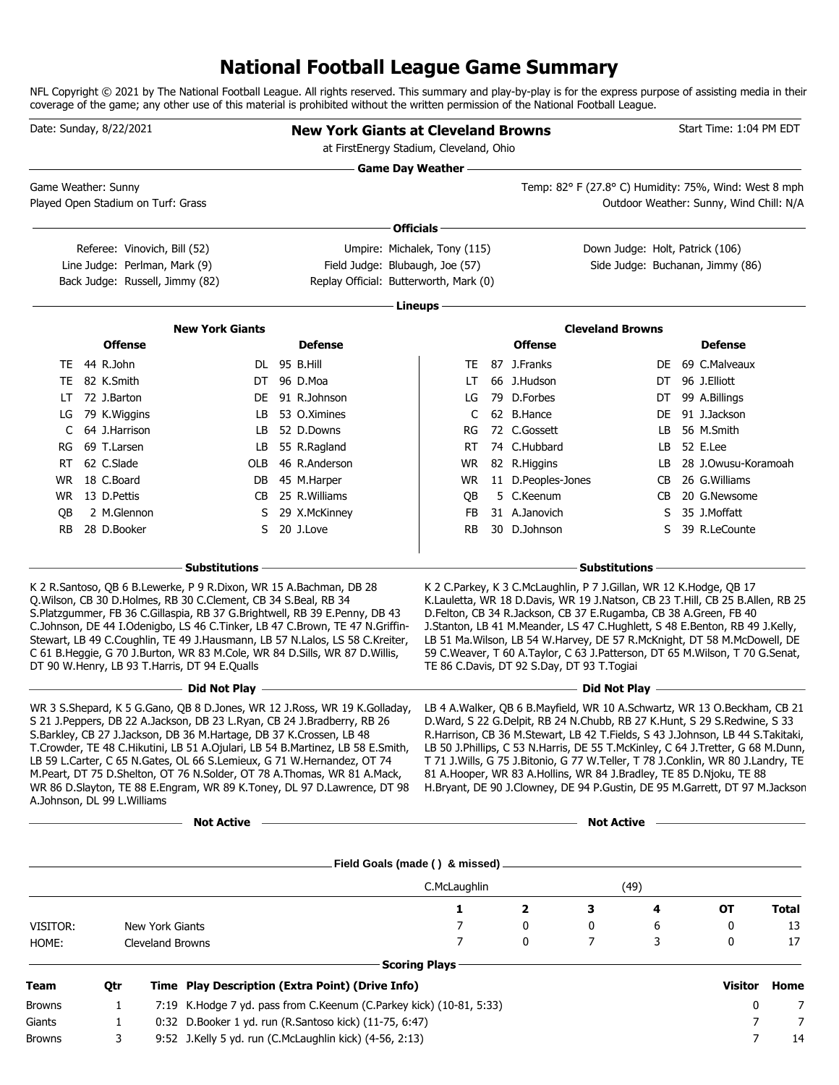# **National Football League Game Summary**

NFL Copyright © 2021 by The National Football League. All rights reserved. This summary and play-by-play is for the express purpose of assisting media in their coverage of the game; any other use of this material is prohibited without the written permission of the National Football League.

|           | Date: Sunday, 8/22/2021          |                                                                  |                                                                                                                                                                                       | <b>New York Giants at Cleveland Browns</b><br>at FirstEnergy Stadium, Cleveland, Ohio                                                                                                                                                                                                                                                                                                                                                                                       |                      |                                            |                                                                                                                                                                                                                                                                                                                                                                                                                                                                                                                                                                                 |    | Start Time: 1:04 PM EDT                 |              |
|-----------|----------------------------------|------------------------------------------------------------------|---------------------------------------------------------------------------------------------------------------------------------------------------------------------------------------|-----------------------------------------------------------------------------------------------------------------------------------------------------------------------------------------------------------------------------------------------------------------------------------------------------------------------------------------------------------------------------------------------------------------------------------------------------------------------------|----------------------|--------------------------------------------|---------------------------------------------------------------------------------------------------------------------------------------------------------------------------------------------------------------------------------------------------------------------------------------------------------------------------------------------------------------------------------------------------------------------------------------------------------------------------------------------------------------------------------------------------------------------------------|----|-----------------------------------------|--------------|
|           |                                  |                                                                  |                                                                                                                                                                                       | <b>Game Day Weather -</b>                                                                                                                                                                                                                                                                                                                                                                                                                                                   |                      |                                            |                                                                                                                                                                                                                                                                                                                                                                                                                                                                                                                                                                                 |    |                                         |              |
|           | Game Weather: Sunny              | Played Open Stadium on Turf: Grass                               |                                                                                                                                                                                       |                                                                                                                                                                                                                                                                                                                                                                                                                                                                             |                      |                                            | Temp: 82° F (27.8° C) Humidity: 75%, Wind: West 8 mph                                                                                                                                                                                                                                                                                                                                                                                                                                                                                                                           |    | Outdoor Weather: Sunny, Wind Chill: N/A |              |
|           |                                  |                                                                  |                                                                                                                                                                                       |                                                                                                                                                                                                                                                                                                                                                                                                                                                                             | Officials -          |                                            |                                                                                                                                                                                                                                                                                                                                                                                                                                                                                                                                                                                 |    |                                         |              |
|           |                                  | Referee: Vinovich, Bill (52)                                     |                                                                                                                                                                                       | Umpire: Michalek, Tony (115)                                                                                                                                                                                                                                                                                                                                                                                                                                                |                      |                                            | Down Judge: Holt, Patrick (106)                                                                                                                                                                                                                                                                                                                                                                                                                                                                                                                                                 |    |                                         |              |
|           |                                  | Line Judge: Perlman, Mark (9)<br>Back Judge: Russell, Jimmy (82) |                                                                                                                                                                                       | Field Judge: Blubaugh, Joe (57)<br>Replay Official: Butterworth, Mark (0)                                                                                                                                                                                                                                                                                                                                                                                                   |                      |                                            |                                                                                                                                                                                                                                                                                                                                                                                                                                                                                                                                                                                 |    | Side Judge: Buchanan, Jimmy (86)        |              |
|           |                                  |                                                                  |                                                                                                                                                                                       |                                                                                                                                                                                                                                                                                                                                                                                                                                                                             | Lineups              |                                            |                                                                                                                                                                                                                                                                                                                                                                                                                                                                                                                                                                                 |    |                                         |              |
|           |                                  |                                                                  | <b>New York Giants</b>                                                                                                                                                                |                                                                                                                                                                                                                                                                                                                                                                                                                                                                             |                      |                                            | <b>Cleveland Browns</b>                                                                                                                                                                                                                                                                                                                                                                                                                                                                                                                                                         |    |                                         |              |
|           | <b>Offense</b>                   |                                                                  |                                                                                                                                                                                       | <b>Defense</b>                                                                                                                                                                                                                                                                                                                                                                                                                                                              |                      | <b>Offense</b>                             |                                                                                                                                                                                                                                                                                                                                                                                                                                                                                                                                                                                 |    | <b>Defense</b>                          |              |
|           | TE 44 R.John                     |                                                                  |                                                                                                                                                                                       | DL 95 B.Hill                                                                                                                                                                                                                                                                                                                                                                                                                                                                | TE                   | 87 J.Franks                                |                                                                                                                                                                                                                                                                                                                                                                                                                                                                                                                                                                                 |    | DE 69 C.Malveaux                        |              |
|           | TE 82 K.Smith                    |                                                                  |                                                                                                                                                                                       | DT 96 D.Moa                                                                                                                                                                                                                                                                                                                                                                                                                                                                 | LT.                  | 66 J.Hudson                                |                                                                                                                                                                                                                                                                                                                                                                                                                                                                                                                                                                                 |    | DT 96 J.Elliott                         |              |
|           | $LT$ 72 J.Barton                 |                                                                  |                                                                                                                                                                                       | DE 91 R.Johnson                                                                                                                                                                                                                                                                                                                                                                                                                                                             | LG                   | 79 D.Forbes                                |                                                                                                                                                                                                                                                                                                                                                                                                                                                                                                                                                                                 | DT | 99 A.Billings                           |              |
| LG        | 79 K.Wiggins                     |                                                                  |                                                                                                                                                                                       | LB 53 O.Ximines                                                                                                                                                                                                                                                                                                                                                                                                                                                             | C                    | 62 B.Hance                                 |                                                                                                                                                                                                                                                                                                                                                                                                                                                                                                                                                                                 |    | DE 91 J.Jackson                         |              |
|           | C 64 J.Harrison                  |                                                                  |                                                                                                                                                                                       | LB 52 D.Downs                                                                                                                                                                                                                                                                                                                                                                                                                                                               | RG                   | 72 C.Gossett                               |                                                                                                                                                                                                                                                                                                                                                                                                                                                                                                                                                                                 |    | LB 56 M.Smith                           |              |
|           | RG 69 T.Larsen                   |                                                                  |                                                                                                                                                                                       | LB 55 R.Ragland                                                                                                                                                                                                                                                                                                                                                                                                                                                             | RT                   | 74 C.Hubbard                               |                                                                                                                                                                                                                                                                                                                                                                                                                                                                                                                                                                                 |    | LB 52 E.Lee                             |              |
|           | RT 62 C.Slade                    |                                                                  |                                                                                                                                                                                       | OLB 46 R.Anderson                                                                                                                                                                                                                                                                                                                                                                                                                                                           | WR                   | 82 R.Higgins                               |                                                                                                                                                                                                                                                                                                                                                                                                                                                                                                                                                                                 |    | LB 28 J.Owusu-Koramoah                  |              |
|           | WR 18 C.Board<br>WR 13 D. Pettis |                                                                  |                                                                                                                                                                                       | DB 45 M.Harper<br>CB 25 R. Williams                                                                                                                                                                                                                                                                                                                                                                                                                                         | WR                   | 11 D.Peoples-Jones<br>5 C.Keenum           |                                                                                                                                                                                                                                                                                                                                                                                                                                                                                                                                                                                 |    | CB 26 G.Williams<br>CB 20 G.Newsome     |              |
| QB        | 2 M.Glennon                      |                                                                  |                                                                                                                                                                                       | S 29 X.McKinney                                                                                                                                                                                                                                                                                                                                                                                                                                                             | QB<br>FB             | 31 A.Janovich                              |                                                                                                                                                                                                                                                                                                                                                                                                                                                                                                                                                                                 |    | S 35 J.Moffatt                          |              |
| <b>RB</b> | 28 D.Booker                      |                                                                  |                                                                                                                                                                                       | S 20 J.Love                                                                                                                                                                                                                                                                                                                                                                                                                                                                 | <b>RB</b>            | 30 D.Johnson                               |                                                                                                                                                                                                                                                                                                                                                                                                                                                                                                                                                                                 | S  | 39 R.LeCounte                           |              |
|           |                                  |                                                                  |                                                                                                                                                                                       |                                                                                                                                                                                                                                                                                                                                                                                                                                                                             |                      |                                            |                                                                                                                                                                                                                                                                                                                                                                                                                                                                                                                                                                                 |    |                                         |              |
|           |                                  |                                                                  | <b>Substitutions</b>                                                                                                                                                                  |                                                                                                                                                                                                                                                                                                                                                                                                                                                                             |                      |                                            | <b>Substitutions</b>                                                                                                                                                                                                                                                                                                                                                                                                                                                                                                                                                            |    |                                         |              |
|           |                                  |                                                                  | K 2 R.Santoso, QB 6 B.Lewerke, P 9 R.Dixon, WR 15 A.Bachman, DB 28<br>Q.Wilson, CB 30 D.Holmes, RB 30 C.Clement, CB 34 S.Beal, RB 34<br>DT 90 W.Henry, LB 93 T.Harris, DT 94 E.Qualls | S.Platzgummer, FB 36 C.Gillaspia, RB 37 G.Brightwell, RB 39 E.Penny, DB 43<br>C.Johnson, DE 44 I.Odenigbo, LS 46 C.Tinker, LB 47 C.Brown, TE 47 N.Griffin-<br>Stewart, LB 49 C.Coughlin, TE 49 J.Hausmann, LB 57 N.Lalos, LS 58 C.Kreiter,<br>C 61 B.Heggie, G 70 J.Burton, WR 83 M.Cole, WR 84 D.Sills, WR 87 D.Willis,                                                                                                                                                    |                      | TE 86 C.Davis, DT 92 S.Day, DT 93 T.Togiai | K 2 C.Parkey, K 3 C.McLaughlin, P 7 J.Gillan, WR 12 K.Hodge, QB 17<br>K.Lauletta, WR 18 D.Davis, WR 19 J.Natson, CB 23 T.Hill, CB 25 B.Allen, RB 25<br>D.Felton, CB 34 R.Jackson, CB 37 E.Rugamba, CB 38 A.Green, FB 40<br>J.Stanton, LB 41 M.Meander, LS 47 C.Hughlett, S 48 E.Benton, RB 49 J.Kelly,<br>LB 51 Ma. Wilson, LB 54 W. Harvey, DE 57 R. McKnight, DT 58 M. McDowell, DE<br>59 C.Weaver, T 60 A.Taylor, C 63 J.Patterson, DT 65 M.Wilson, T 70 G.Senat,                                                                                                            |    |                                         |              |
|           |                                  |                                                                  | Did Not Play -                                                                                                                                                                        |                                                                                                                                                                                                                                                                                                                                                                                                                                                                             |                      |                                            | Did Not Play -                                                                                                                                                                                                                                                                                                                                                                                                                                                                                                                                                                  |    |                                         |              |
|           | A.Johnson, DL 99 L.Williams      |                                                                  | S.Barkley, CB 27 J.Jackson, DB 36 M.Hartage, DB 37 K.Crossen, LB 48                                                                                                                   | WR 3 S.Shepard, K 5 G.Gano, OB 8 D.Jones, WR 12 J.Ross, WR 19 K.Golladay,<br>S 21 J.Peppers, DB 22 A.Jackson, DB 23 L.Ryan, CB 24 J.Bradberry, RB 26<br>T. Crowder, TE 48 C. Hikutini, LB 51 A. Ojulari, LB 54 B. Martinez, LB 58 E. Smith,<br>LB 59 L.Carter, C 65 N.Gates, OL 66 S.Lemieux, G 71 W.Hernandez, OT 74<br>M.Peart, DT 75 D.Shelton, OT 76 N.Solder, OT 78 A.Thomas, WR 81 A.Mack,<br>WR 86 D.Slayton, TE 88 E.Engram, WR 89 K.Toney, DL 97 D.Lawrence, DT 98 |                      |                                            | LB 4 A. Walker, QB 6 B. Mayfield, WR 10 A. Schwartz, WR 13 O. Beckham, CB 21<br>D.Ward, S 22 G.Delpit, RB 24 N.Chubb, RB 27 K.Hunt, S 29 S.Redwine, S 33<br>R.Harrison, CB 36 M.Stewart, LB 42 T.Fields, S 43 J.Johnson, LB 44 S.Takitaki,<br>LB 50 J.Phillips, C 53 N.Harris, DE 55 T.McKinley, C 64 J.Tretter, G 68 M.Dunn,<br>T 71 J. Wills, G 75 J. Bitonio, G 77 W. Teller, T 78 J. Conklin, WR 80 J. Landry, TE<br>81 A. Hooper, WR 83 A. Hollins, WR 84 J. Bradley, TE 85 D. Njoku, TE 88<br>H.Bryant, DE 90 J.Clowney, DE 94 P.Gustin, DE 95 M.Garrett, DT 97 M.Jackson |    |                                         |              |
|           |                                  |                                                                  | <b>Not Active</b>                                                                                                                                                                     | the control of the control of the control of the control of the control of the control of the control of the control of the control of the control of the control of the control of the control of the control of the control                                                                                                                                                                                                                                               |                      |                                            | <b>Not Active</b>                                                                                                                                                                                                                                                                                                                                                                                                                                                                                                                                                               |    |                                         |              |
|           |                                  |                                                                  |                                                                                                                                                                                       |                                                                                                                                                                                                                                                                                                                                                                                                                                                                             |                      |                                            |                                                                                                                                                                                                                                                                                                                                                                                                                                                                                                                                                                                 |    |                                         |              |
|           |                                  |                                                                  |                                                                                                                                                                                       | . Field Goals (made ( ) & missed) _______________________                                                                                                                                                                                                                                                                                                                                                                                                                   | C.McLaughlin         |                                            | (49)                                                                                                                                                                                                                                                                                                                                                                                                                                                                                                                                                                            |    |                                         |              |
|           |                                  |                                                                  |                                                                                                                                                                                       |                                                                                                                                                                                                                                                                                                                                                                                                                                                                             | 1                    | $\overline{\mathbf{2}}$                    | з                                                                                                                                                                                                                                                                                                                                                                                                                                                                                                                                                                               | 4  | <b>OT</b>                               | <b>Total</b> |
| VISITOR:  |                                  | New York Giants                                                  |                                                                                                                                                                                       |                                                                                                                                                                                                                                                                                                                                                                                                                                                                             | 7                    | 0                                          | 0                                                                                                                                                                                                                                                                                                                                                                                                                                                                                                                                                                               | 6  | 0                                       | 13           |
| HOME:     |                                  | <b>Cleveland Browns</b>                                          |                                                                                                                                                                                       |                                                                                                                                                                                                                                                                                                                                                                                                                                                                             | 7                    | 0                                          | 7                                                                                                                                                                                                                                                                                                                                                                                                                                                                                                                                                                               | 3  | 0                                       | 17           |
|           |                                  |                                                                  |                                                                                                                                                                                       |                                                                                                                                                                                                                                                                                                                                                                                                                                                                             | <b>Scoring Plays</b> |                                            |                                                                                                                                                                                                                                                                                                                                                                                                                                                                                                                                                                                 |    |                                         |              |
| Team      | Qtr                              |                                                                  |                                                                                                                                                                                       | Time Play Description (Extra Point) (Drive Info)                                                                                                                                                                                                                                                                                                                                                                                                                            |                      |                                            |                                                                                                                                                                                                                                                                                                                                                                                                                                                                                                                                                                                 |    | Visitor                                 | Home         |
| Browns    | 1                                |                                                                  |                                                                                                                                                                                       | 7:19 K.Hodge 7 yd. pass from C.Keenum (C.Parkey kick) (10-81, 5:33)                                                                                                                                                                                                                                                                                                                                                                                                         |                      |                                            |                                                                                                                                                                                                                                                                                                                                                                                                                                                                                                                                                                                 |    | 0                                       | 7            |
| Giants    | 1                                |                                                                  |                                                                                                                                                                                       | 0:32 D.Booker 1 yd. run (R.Santoso kick) (11-75, 6:47)                                                                                                                                                                                                                                                                                                                                                                                                                      |                      |                                            |                                                                                                                                                                                                                                                                                                                                                                                                                                                                                                                                                                                 |    | 7                                       | 7            |
| Browns    | 3                                |                                                                  |                                                                                                                                                                                       | 9:52 J.Kelly 5 yd. run (C.McLaughlin kick) (4-56, 2:13)                                                                                                                                                                                                                                                                                                                                                                                                                     |                      |                                            |                                                                                                                                                                                                                                                                                                                                                                                                                                                                                                                                                                                 |    | 7                                       | 14           |
|           |                                  |                                                                  |                                                                                                                                                                                       |                                                                                                                                                                                                                                                                                                                                                                                                                                                                             |                      |                                            |                                                                                                                                                                                                                                                                                                                                                                                                                                                                                                                                                                                 |    |                                         |              |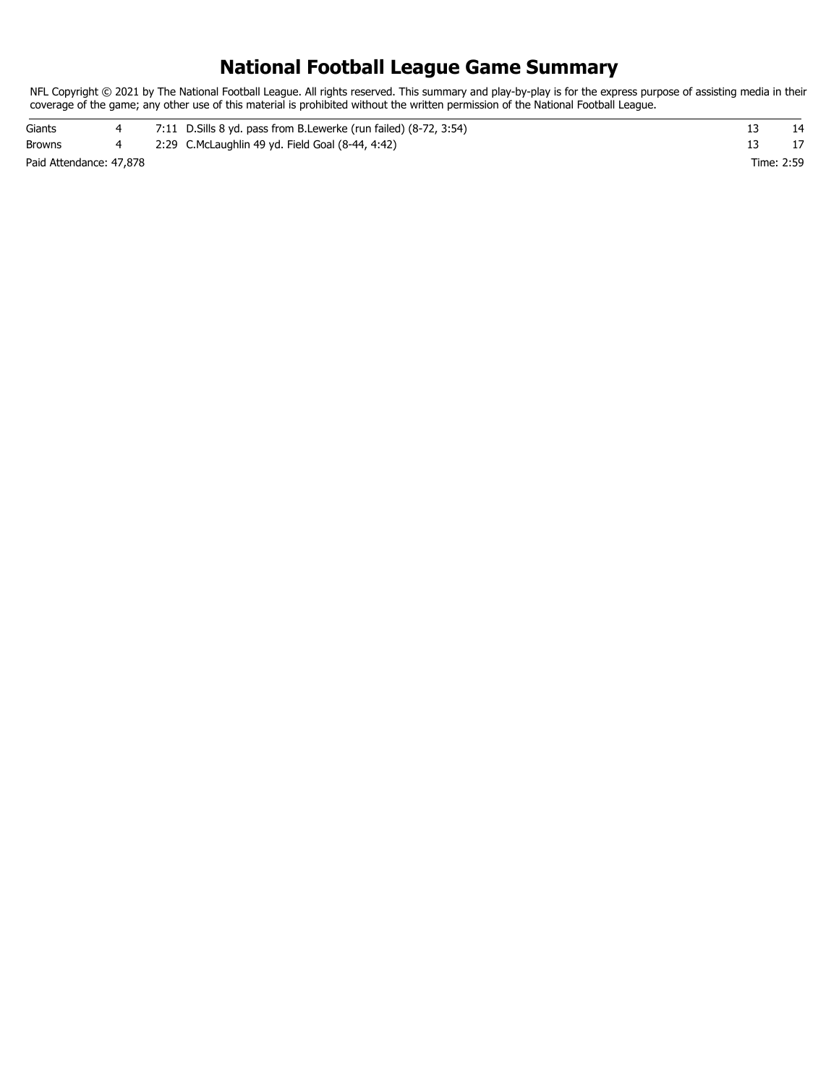### **National Football League Game Summary**

NFL Copyright © 2021 by The National Football League. All rights reserved. This summary and play-by-play is for the express purpose of assisting media in their coverage of the game; any other use of this material is prohibited without the written permission of the National Football League.

| Giants                  |  | 7:11 D. Sills 8 yd. pass from B. Lewerke (run failed) (8-72, 3:54) |            |  |
|-------------------------|--|--------------------------------------------------------------------|------------|--|
| <b>Browns</b>           |  | 2:29 C.McLaughlin 49 yd. Field Goal (8-44, 4:42)                   |            |  |
| Paid Attendance: 47,878 |  |                                                                    | Time: 2:59 |  |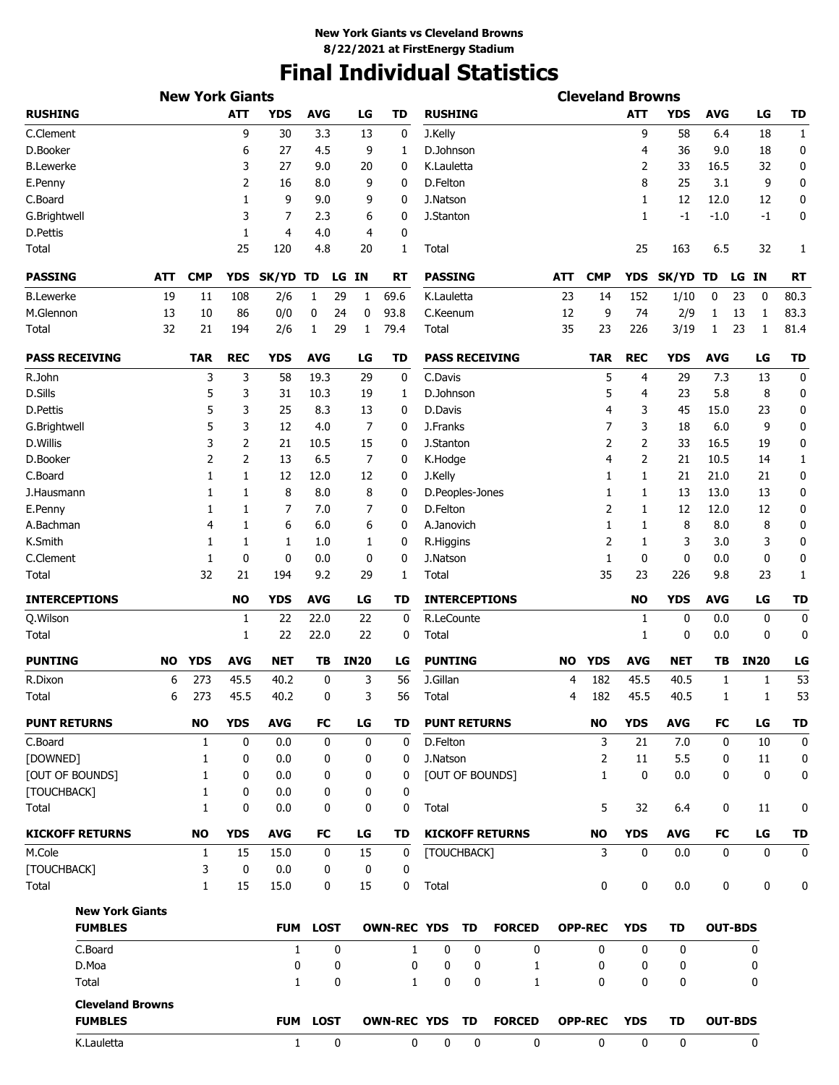# **Final Individual Statistics**

|                                           |           | <b>New York Giants</b> |             |              |             |             |           |                    |                     |    |                        |            | <b>Cleveland Browns</b> |            |             |                |       |             |              |
|-------------------------------------------|-----------|------------------------|-------------|--------------|-------------|-------------|-----------|--------------------|---------------------|----|------------------------|------------|-------------------------|------------|-------------|----------------|-------|-------------|--------------|
| <b>RUSHING</b>                            |           |                        | <b>ATT</b>  | <b>YDS</b>   | <b>AVG</b>  |             | LG        | <b>TD</b>          | <b>RUSHING</b>      |    |                        |            |                         | <b>ATT</b> | <b>YDS</b>  | <b>AVG</b>     |       | LG          | <b>TD</b>    |
| C.Clement                                 |           |                        | 9           | 30           | 3.3         |             | 13        | 0                  | J.Kelly             |    |                        |            |                         | 9          | 58          | 6.4            |       | 18          | $\mathbf{1}$ |
| D.Booker                                  |           |                        | 6           | 27           | 4.5         |             | 9         | 1                  | D.Johnson           |    |                        |            |                         | 4          | 36          | 9.0            |       | 18          | 0            |
| <b>B.Lewerke</b>                          |           |                        | 3           | 27           | 9.0         |             | 20        | 0                  | K.Lauletta          |    |                        |            |                         | 2          | 33          | 16.5           |       | 32          | 0            |
| E.Penny                                   |           |                        | 2           | 16           | 8.0         |             | 9         | 0                  | D.Felton            |    |                        |            |                         | 8          | 25          | 3.1            |       | 9           | 0            |
| C.Board                                   |           |                        | 1           | 9            | 9.0         |             | 9         | 0                  | J.Natson            |    |                        |            |                         | 1          | 12          | 12.0           |       | 12          | 0            |
| G.Brightwell                              |           |                        | 3           | 7            | 2.3         |             | 6         | 0                  | J.Stanton           |    |                        |            |                         | 1          | $-1$        | $-1.0$         |       | $-1$        | 0            |
| D.Pettis                                  |           |                        | 1           | 4            | 4.0         |             | 4         | 0                  |                     |    |                        |            |                         |            |             |                |       |             |              |
| Total                                     |           |                        | 25          | 120          | 4.8         |             | 20        | 1                  | Total               |    |                        |            |                         | 25         | 163         | 6.5            |       | 32          | 1            |
| <b>PASSING</b>                            | ATT       | <b>CMP</b>             | <b>YDS</b>  | SK/YD TD     |             | LG          | <b>IN</b> | <b>RT</b>          | <b>PASSING</b>      |    |                        | <b>ATT</b> | <b>CMP</b>              | <b>YDS</b> | SK/YD TD    |                | LG IN |             | <b>RT</b>    |
| <b>B.Lewerke</b>                          | 19        | 11                     | 108         | 2/6          | 1           | 29          | 1         | 69.6               | K.Lauletta          |    |                        | 23         | 14                      | 152        | 1/10        | 0              | 23    | 0           | 80.3         |
| M.Glennon                                 | 13        | 10                     | 86          | 0/0          | 0           | 24          | 0         | 93.8               | C.Keenum            |    |                        | 12         | 9                       | 74         | 2/9         | 1              | 13    | 1           | 83.3         |
| Total                                     | 32        | 21                     | 194         | 2/6          | 1           | 29          | 1         | 79.4               | Total               |    |                        | 35         | 23                      | 226        | 3/19        | $\mathbf{1}$   | 23    | 1           | 81.4         |
| <b>PASS RECEIVING</b>                     |           | <b>TAR</b>             | <b>REC</b>  | <b>YDS</b>   | <b>AVG</b>  |             | LG        | TD                 |                     |    | <b>PASS RECEIVING</b>  |            | TAR                     | <b>REC</b> | YDS         | <b>AVG</b>     |       | LG          | <b>TD</b>    |
| R.John                                    |           | 3                      | 3           | 58           | 19.3        |             | 29        | 0                  | C.Davis             |    |                        |            | 5                       | 4          | 29          | 7.3            |       | 13          | 0            |
| D.Sills                                   |           | 5                      | 3           | 31           | 10.3        |             | 19        | 1                  | D.Johnson           |    |                        |            | 5                       | 4          | 23          | 5.8            |       | 8           | 0            |
| D.Pettis                                  |           | 5                      | 3           | 25           | 8.3         |             | 13        | 0                  | D.Davis             |    |                        |            | 4                       | 3          | 45          | 15.0           |       | 23          | 0            |
| G.Brightwell                              |           | 5                      | 3           | 12           | 4.0         |             | 7         | 0                  | J.Franks            |    |                        |            | 7                       | 3          | 18          | 6.0            |       | 9           | 0            |
| D.Willis                                  |           | 3                      | 2           | 21           | 10.5        |             | 15        | 0                  | J.Stanton           |    |                        |            | 2                       | 2          | 33          | 16.5           |       | 19          | 0            |
| D.Booker                                  |           | 2                      | 2           | 13           | 6.5         |             | 7         | 0                  | K.Hodge             |    |                        |            | 4                       | 2          | 21          | 10.5           |       | 14          | 1            |
| C.Board                                   |           | 1                      | 1           | 12           | 12.0        |             | 12        | 0                  | J.Kelly             |    |                        |            | 1                       | 1          | 21          | 21.0           |       | 21          | 0            |
| J.Hausmann                                |           | 1                      | 1           | 8            | 8.0         |             | 8         | 0                  | D.Peoples-Jones     |    |                        |            | 1                       | 1          | 13          | 13.0           |       | 13          | 0            |
| E.Penny                                   |           | 1                      | 1           | 7            | 7.0         |             | 7         | 0                  | D.Felton            |    |                        |            | 2                       | 1          | 12          | 12.0           |       | 12          | 0            |
| A.Bachman                                 |           | 4                      | 1           | 6            | 6.0         |             | 6         | 0                  | A.Janovich          |    |                        |            | 1                       | 1          | 8           | 8.0            |       | 8           | 0            |
| K.Smith                                   |           | 1                      | 1           | 1            | 1.0         |             | 1         | 0                  | R.Higgins           |    |                        |            | 2                       | 1          | 3           | 3.0            |       | 3           | 0            |
| C.Clement                                 |           | 1                      | 0           | 0            | 0.0         |             | 0         | 0                  | J.Natson            |    |                        |            | 1                       | 0          | 0           | 0.0            |       | 0           | 0            |
| Total                                     |           | 32                     | 21          | 194          | 9.2         |             | 29        | 1                  | Total               |    |                        |            | 35                      | 23         | 226         | 9.8            |       | 23          | 1            |
| <b>INTERCEPTIONS</b>                      |           |                        | <b>NO</b>   | <b>YDS</b>   | <b>AVG</b>  |             | LG        | <b>TD</b>          |                     |    | <b>INTERCEPTIONS</b>   |            |                         | <b>NO</b>  | <b>YDS</b>  | <b>AVG</b>     |       | LG          | <b>TD</b>    |
| Q.Wilson                                  |           |                        | 1           | 22           | 22.0        |             | 22        | 0                  | R.LeCounte          |    |                        |            |                         | 1          | 0           | 0.0            |       | 0           | 0            |
| Total                                     |           |                        | 1           | 22           | 22.0        |             | 22        | 0                  | Total               |    |                        |            |                         | 1          | 0           | 0.0            |       | 0           | 0            |
| <b>PUNTING</b>                            | <b>NO</b> | <b>YDS</b>             | <b>AVG</b>  | <b>NET</b>   | TВ          | <b>IN20</b> |           | LG                 | <b>PUNTING</b>      |    |                        | <b>NO</b>  | <b>YDS</b>              | <b>AVG</b> | <b>NET</b>  | TВ             |       | <b>IN20</b> | LG           |
| R.Dixon                                   | 6         | 273                    | 45.5        | 40.2         | 0           |             | 3         | 56                 | J.Gillan            |    |                        | 4          | 182                     | 45.5       | 40.5        | 1              |       | 1           | 53           |
| Total                                     | 6         | 273                    | 45.5        | 40.2         | 0           |             | 3         | 56                 | Total               |    |                        | 4          | 182                     | 45.5       | 40.5        | 1              |       | 1           | 53           |
| <b>PUNT RETURNS</b>                       |           | <b>NO</b>              | <b>YDS</b>  | <b>AVG</b>   | FC          |             | LG        | TD                 | <b>PUNT RETURNS</b> |    |                        |            | <b>NO</b>               | <b>YDS</b> | <b>AVG</b>  | FC             |       | LG          | <b>TD</b>    |
| C.Board                                   |           | 1                      | 0           | 0.0          | 0           |             | 0         | 0                  | D.Felton            |    |                        |            | 3                       | 21         | 7.0         | 0              |       | 10          | 0            |
| [DOWNED]                                  |           | 1                      | 0           | 0.0          | 0           |             | 0         | 0                  | J.Natson            |    |                        |            | $\overline{2}$          | 11         | 5.5         | 0              |       | 11          | 0            |
| <b>[OUT OF BOUNDS]</b>                    |           | 1                      | 0           | 0.0          | 0           |             | 0         | 0                  |                     |    | [OUT OF BOUNDS]        |            | 1                       | 0          | 0.0         | 0              |       | 0           | 0            |
| [TOUCHBACK]                               |           | 1                      | 0           | 0.0          | 0           |             | 0         | 0                  |                     |    |                        |            |                         |            |             |                |       |             |              |
| Total                                     |           | $\mathbf{1}$           | 0           | 0.0          | 0           |             | 0         | 0                  | Total               |    |                        |            | 5                       | 32         | 6.4         | 0              |       | 11          | 0            |
| <b>KICKOFF RETURNS</b>                    |           | <b>NO</b>              | <b>YDS</b>  | <b>AVG</b>   | FC          |             | LG        | TD                 |                     |    | <b>KICKOFF RETURNS</b> |            | <b>NO</b>               | <b>YDS</b> | <b>AVG</b>  | FC             |       | LG          | <b>TD</b>    |
| M.Cole                                    |           | $\mathbf{1}$           | 15          | 15.0         | 0           |             | 15        | 0                  | [TOUCHBACK]         |    |                        |            | 3                       | 0          | 0.0         | $\mathbf 0$    |       | 0           | $\mathbf 0$  |
| [TOUCHBACK]                               |           | 3                      | $\mathbf 0$ | 0.0          | 0           |             | 0         | 0                  |                     |    |                        |            |                         |            |             |                |       |             |              |
| Total                                     |           | $\mathbf{1}$           | 15          | 15.0         | 0           |             | 15        | 0                  | Total               |    |                        |            | 0                       | 0          | 0.0         | 0              |       | 0           | 0            |
| <b>New York Giants</b>                    |           |                        |             |              |             |             |           |                    |                     |    |                        |            |                         |            |             |                |       |             |              |
| <b>FUMBLES</b>                            |           |                        |             | <b>FUM</b>   | <b>LOST</b> |             |           | <b>OWN-REC YDS</b> |                     | TD | <b>FORCED</b>          |            | <b>OPP-REC</b>          | <b>YDS</b> | <b>TD</b>   | <b>OUT-BDS</b> |       |             |              |
| C.Board                                   |           |                        |             | $\mathbf{1}$ |             | 0           |           | 1                  | 0                   | 0  | 0                      |            | 0                       | 0          | 0           |                |       | 0           |              |
| D.Moa                                     |           |                        |             | 0            |             | 0           |           | 0                  | 0                   | 0  | 1                      |            | 0                       | 0          | 0           |                |       | 0           |              |
| Total                                     |           |                        |             | 1            |             | 0           |           | $\mathbf{1}$       | 0                   | 0  | $\mathbf{1}$           |            | $\mathbf{0}$            | 0          | 0           |                |       | 0           |              |
| <b>Cleveland Browns</b><br><b>FUMBLES</b> |           |                        |             |              | FUM LOST    |             |           | <b>OWN-REC YDS</b> |                     | TD | <b>FORCED</b>          |            | <b>OPP-REC</b>          | <b>YDS</b> | <b>TD</b>   | <b>OUT-BDS</b> |       |             |              |
| K.Lauletta                                |           |                        |             | $\mathbf{1}$ |             | 0           |           | 0                  | 0                   | 0  | $\mathbf 0$            |            | $\mathbf{0}$            | 0          | $\mathbf 0$ |                |       | 0           |              |
|                                           |           |                        |             |              |             |             |           |                    |                     |    |                        |            |                         |            |             |                |       |             |              |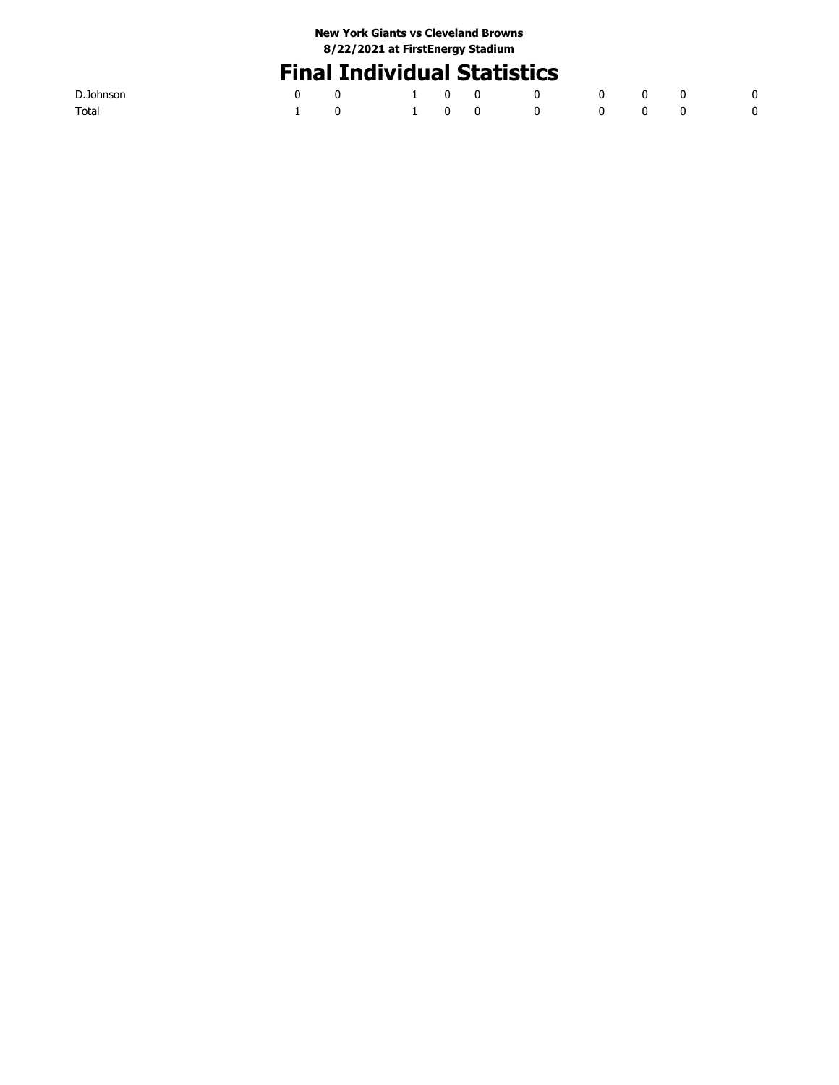# **Final Individual Statistics**

| D.Johnson |                         |  |  |  |  |
|-----------|-------------------------|--|--|--|--|
| Total     | 1 0 1 0 0 0 0 0 0 0 0 0 |  |  |  |  |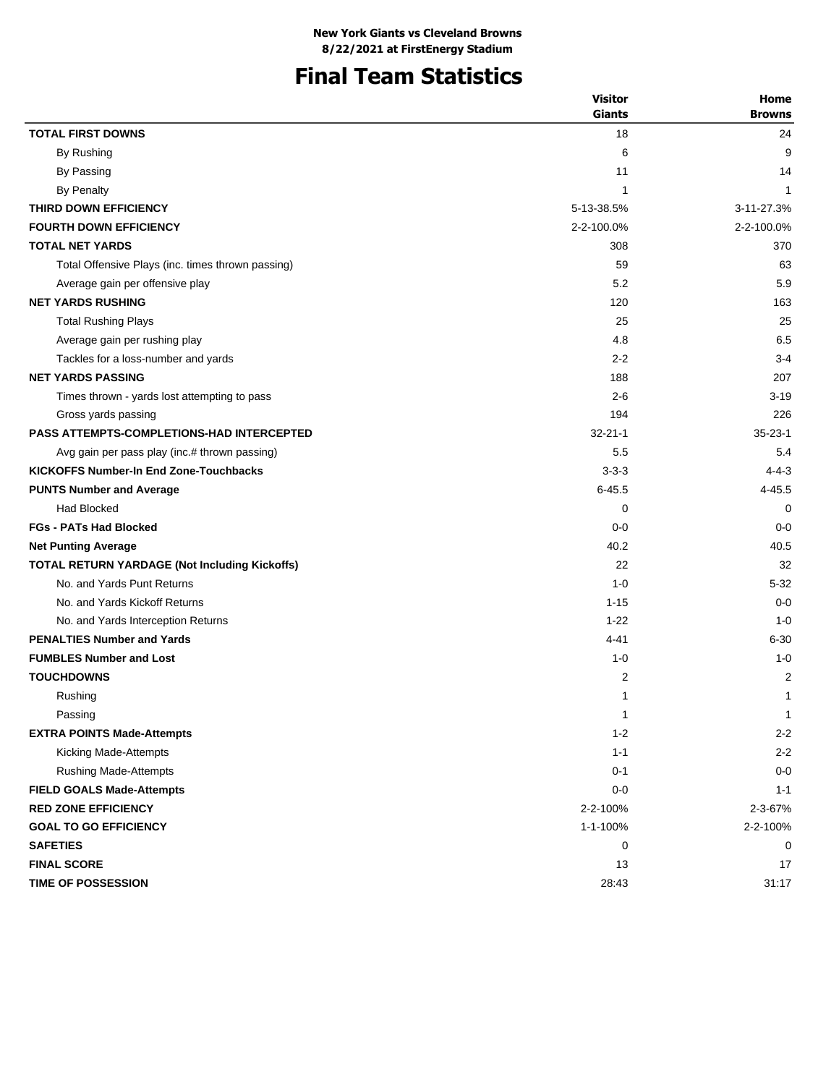# **Final Team Statistics**

|                                                      | <b>Visitor</b> | Home          |
|------------------------------------------------------|----------------|---------------|
|                                                      | <b>Giants</b>  | <b>Browns</b> |
| <b>TOTAL FIRST DOWNS</b>                             | 18             | 24            |
| By Rushing                                           | 6              | 9             |
| By Passing                                           | 11             | 14            |
| <b>By Penalty</b>                                    | 1              | 1             |
| THIRD DOWN EFFICIENCY                                | 5-13-38.5%     | 3-11-27.3%    |
| <b>FOURTH DOWN EFFICIENCY</b>                        | 2-2-100.0%     | 2-2-100.0%    |
| <b>TOTAL NET YARDS</b>                               | 308            | 370           |
| Total Offensive Plays (inc. times thrown passing)    | 59             | 63            |
| Average gain per offensive play                      | 5.2            | 5.9           |
| <b>NET YARDS RUSHING</b>                             | 120            | 163           |
| <b>Total Rushing Plays</b>                           | 25             | 25            |
| Average gain per rushing play                        | 4.8            | 6.5           |
| Tackles for a loss-number and yards                  | $2 - 2$        | $3 - 4$       |
| <b>NET YARDS PASSING</b>                             | 188            | 207           |
| Times thrown - yards lost attempting to pass         | $2 - 6$        | $3 - 19$      |
| Gross yards passing                                  | 194            | 226           |
| <b>PASS ATTEMPTS-COMPLETIONS-HAD INTERCEPTED</b>     | $32 - 21 - 1$  | $35 - 23 - 1$ |
| Avg gain per pass play (inc.# thrown passing)        | 5.5            | 5.4           |
| <b>KICKOFFS Number-In End Zone-Touchbacks</b>        | $3 - 3 - 3$    | $4 - 4 - 3$   |
| <b>PUNTS Number and Average</b>                      | $6 - 45.5$     | 4-45.5        |
| <b>Had Blocked</b>                                   | 0              | 0             |
| <b>FGs - PATs Had Blocked</b>                        | $0 - 0$        | $0 - 0$       |
| <b>Net Punting Average</b>                           | 40.2           | 40.5          |
| <b>TOTAL RETURN YARDAGE (Not Including Kickoffs)</b> | 22             | 32            |
| No. and Yards Punt Returns                           | $1 - 0$        | $5 - 32$      |
| No. and Yards Kickoff Returns                        | $1 - 15$       | $0 - 0$       |
| No. and Yards Interception Returns                   | $1 - 22$       | $1 - 0$       |
| <b>PENALTIES Number and Yards</b>                    | $4 - 41$       | $6 - 30$      |
| <b>FUMBLES Number and Lost</b>                       | $1 - 0$        | $1 - 0$       |
| <b>TOUCHDOWNS</b>                                    | $\overline{c}$ | 2             |
| Rushing                                              | 1              | 1             |
| Passing                                              | $\mathbf{1}$   | $\mathbf 1$   |
| <b>EXTRA POINTS Made-Attempts</b>                    | $1 - 2$        | $2 - 2$       |
| Kicking Made-Attempts                                | $1 - 1$        | $2 - 2$       |
| <b>Rushing Made-Attempts</b>                         | $0 - 1$        | $0-0$         |
| <b>FIELD GOALS Made-Attempts</b>                     | $0-0$          | $1 - 1$       |
| <b>RED ZONE EFFICIENCY</b>                           | 2-2-100%       | 2-3-67%       |
| <b>GOAL TO GO EFFICIENCY</b>                         | 1-1-100%       | 2-2-100%      |
| <b>SAFETIES</b>                                      | 0              | 0             |
| <b>FINAL SCORE</b>                                   | 13             | 17            |
| <b>TIME OF POSSESSION</b>                            | 28:43          | 31:17         |
|                                                      |                |               |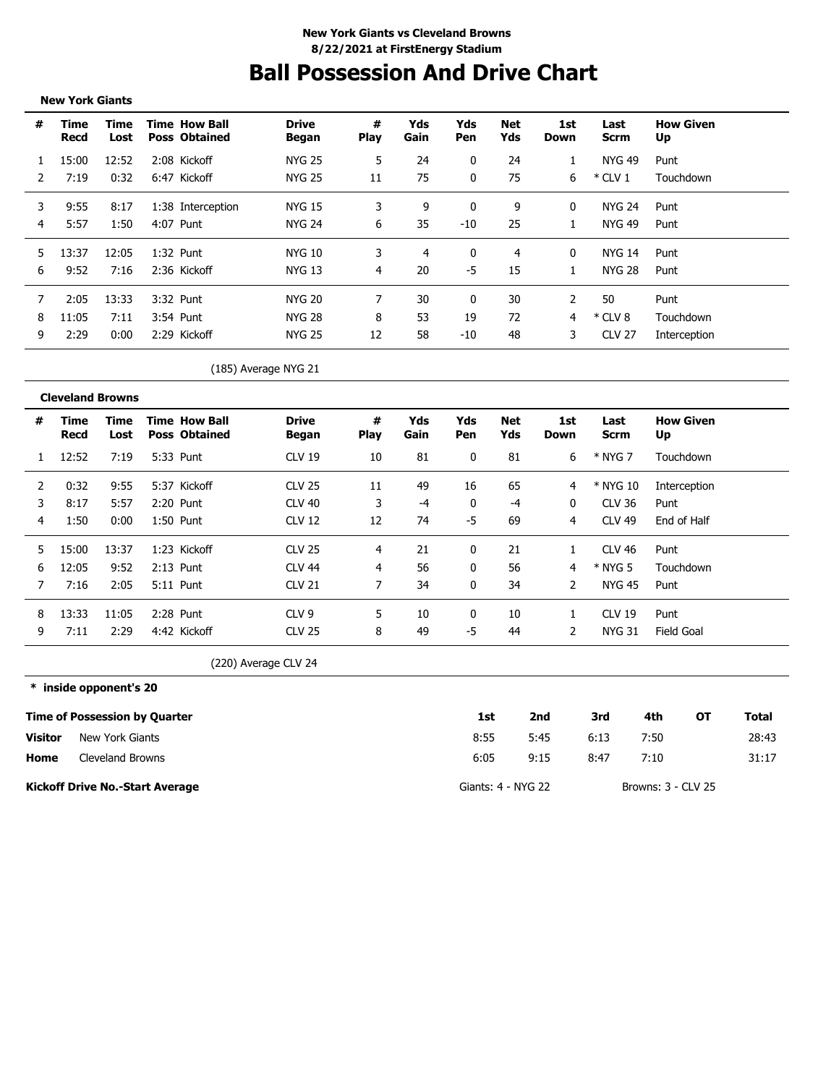# **Ball Possession And Drive Chart**

**New York Giants**

| #   | Time<br>Recd | Time<br>Lost | <b>Time How Ball</b><br><b>Poss Obtained</b> | <b>Drive</b><br>Began | #<br>Play | Yds<br>Gain | Yds<br>Pen | Net<br>Yds | 1st<br>Down | Last<br>Scrm  | <b>How Given</b><br>Up |
|-----|--------------|--------------|----------------------------------------------|-----------------------|-----------|-------------|------------|------------|-------------|---------------|------------------------|
|     | 15:00        | 12:52        | 2:08 Kickoff                                 | NYG 25                | 5         | 24          | 0          | 24         |             | NYG 49        | Punt                   |
|     | 7:19         | 0:32         | 6:47 Kickoff                                 | NYG 25                | 11        | 75          | $\Omega$   | 75         | 6           | $*$ CLV 1     | Touchdown              |
| 3   | 9:55         | 8:17         | 1:38 Interception                            | NYG 15                |           | 9           | 0          | 9          | 0           | NYG 24        | Punt                   |
| 4   | 5:57         | 1:50         | 4:07 Punt                                    | NYG 24                | 6         | 35          | $-10$      | 25         | $\perp$     | NYG 49        | Punt                   |
| .5. | 13:37        | 12:05        | 1:32 Punt                                    | NYG 10                | 3         | 4           | 0          | 4          | 0           | NYG 14        | Punt                   |
| 6   | 9:52         | 7:16         | 2:36 Kickoff                                 | NYG 13                | 4         | 20          | -5         | 15         |             | NYG 28        | Punt                   |
|     | 2:05         | 13:33        | 3:32 Punt                                    | <b>NYG 20</b>         |           | 30          | 0          | 30         |             | 50            | Punt                   |
| 8   | 11:05        | 7:11         | 3:54 Punt                                    | <b>NYG 28</b>         | 8         | 53          | 19         | 72         | 4           | $*$ CLV 8     | Touchdown              |
| 9   | 2:29         | 0:00         | 2:29 Kickoff                                 | NYG 25                | 12        | 58          | -10        | 48         | 3           | <b>CLV 27</b> | Interception           |

(185) Average NYG 21

|    | <b>Cleveland Browns</b> |              |                                              |                       |                  |             |                   |            |             |               |                        |
|----|-------------------------|--------------|----------------------------------------------|-----------------------|------------------|-------------|-------------------|------------|-------------|---------------|------------------------|
| #  | Time<br>Recd            | Time<br>Lost | <b>Time How Ball</b><br><b>Poss Obtained</b> | <b>Drive</b><br>Began | #<br><b>Play</b> | Yds<br>Gain | Yds<br><b>Pen</b> | Net<br>Yds | 1st<br>Down | Last<br>Scrm  | <b>How Given</b><br>Up |
| 1  | 12:52                   | 7:19         | 5:33 Punt                                    | <b>CLV 19</b>         | 10               | 81          | 0                 | 81         | 6           | * NYG 7       | Touchdown              |
| 2  | 0:32                    | 9:55         | 5:37 Kickoff                                 | <b>CLV 25</b>         | 11               | -49         | 16                | 65         | 4           | * NYG 10      | Interception           |
| 3  | 8:17                    | 5:57         | 2:20 Punt                                    | <b>CLV 40</b>         | 3                | -4          | 0                 | -4         | 0           | CLV 36        | Punt                   |
| 4  | 1:50                    | 0:00         | $1:50$ Punt                                  | <b>CLV 12</b>         | 12               | 74          | -5                | 69         | 4           | <b>CLV 49</b> | End of Half            |
| 5. | 15:00                   | 13:37        | 1:23 Kickoff                                 | <b>CLV 25</b>         | 4                | 21          | 0                 | 21         |             | <b>CLV 46</b> | Punt                   |
| 6  | 12:05                   | 9:52         | $2:13$ Punt                                  | <b>CLV 44</b>         | 4                | 56          | 0                 | 56         | 4           | * NYG 5       | Touchdown              |
|    | 7:16                    | 2:05         | 5:11 Punt                                    | <b>CLV 21</b>         |                  | 34          | 0                 | 34         | 2           | NYG 45        | Punt                   |
| 8  | 13:33                   | 11:05        | 2:28 Punt                                    | CLV <sub>9</sub>      | 5                | 10          |                   | 10         |             | <b>CLV 19</b> | Punt                   |
| 9  | 7:11                    | 2:29         | 4:42 Kickoff                                 | <b>CLV 25</b>         | 8                | 49          | -5                | 44         | 2           | <b>NYG 31</b> | Field Goal             |

(220) Average CLV 24

**\* inside opponent's 20**

\_\_\_\_\_\_\_\_\_\_\_\_\_\_\_\_\_\_\_\_\_\_\_\_\_\_\_

|         | <b>Time of Possession by Quarter</b>   | 1st                | 2nd  | 3rd  | 4th                | ΟТ | Total |
|---------|----------------------------------------|--------------------|------|------|--------------------|----|-------|
| Visitor | New York Giants                        | 8:55               | 5:45 | 6:13 | 7:50               |    | 28:43 |
| Home    | Cleveland Browns                       | 6:05               | 9:15 | 8:47 | 7:10               |    | 31:17 |
|         | <b>Kickoff Drive No.-Start Average</b> | Giants: 4 - NYG 22 |      |      | Browns: 3 - CLV 25 |    |       |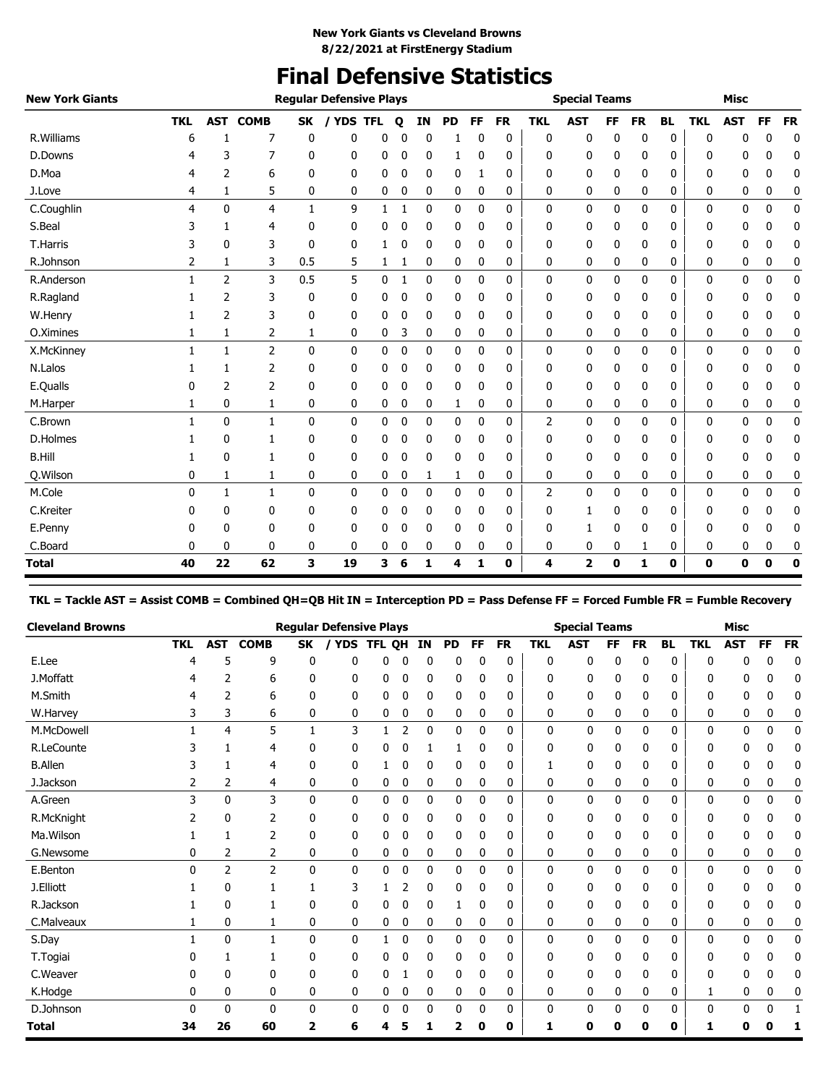# **Final Defensive Statistics**

| <b>New York Giants</b> |            |                |              |              | <b>Regular Defensive Plays</b> |   |   |    |             |              |           |            | <b>Special Teams</b> |           |              |           |             | <b>Misc</b> |              |           |
|------------------------|------------|----------------|--------------|--------------|--------------------------------|---|---|----|-------------|--------------|-----------|------------|----------------------|-----------|--------------|-----------|-------------|-------------|--------------|-----------|
|                        | <b>TKL</b> | <b>AST</b>     | <b>COMB</b>  | SK           | / YDS TFL                      |   | Q | ΙN | <b>PD</b>   | FF           | <b>FR</b> | <b>TKL</b> | <b>AST</b>           | <b>FF</b> | <b>FR</b>    | <b>BL</b> | <b>TKL</b>  | <b>AST</b>  | FF           | <b>FR</b> |
| R. Williams            | 6          |                | 7            | 0            | 0                              | 0 |   | 0  |             | 0            | 0         | 0          | 0                    | 0         | 0            | 0         | $\mathbf 0$ | 0           | 0            | 0         |
| D.Downs                | 4          | 3              | 7            | 0            | 0                              | 0 | 0 | 0  | 1           | 0            | 0         | 0          | 0                    | 0         | 0            | 0         | 0           | 0           | 0            | 0         |
| D.Moa                  | 4          | 2              | 6            | 0            | 0                              | 0 | 0 | 0  | 0           | 1            | 0         | 0          | 0                    | 0         | 0            | 0         | 0           | 0           | 0            | 0         |
| J.Love                 | 4          | 1              | 5            | 0            | 0                              | 0 | 0 | 0  | 0           | 0            | 0         | 0          | 0                    | 0         | 0            | 0         | 0           | 0           | 0            | 0         |
| C.Coughlin             | 4          | $\mathbf{0}$   | 4            | $\mathbf{1}$ | 9                              | 1 | 1 | 0  | 0           | $\mathbf{0}$ | 0         | 0          | 0                    | 0         | $\mathbf{0}$ | 0         | 0           | 0           | $\mathbf{0}$ | 0         |
| S.Beal                 | 3          |                | 4            | 0            | 0                              | 0 | 0 | 0  | 0           | 0            | 0         | 0          | 0                    | 0         | 0            | 0         | 0           | 0           | 0            | 0         |
| <b>T.Harris</b>        | 3          | 0              | 3            | $\mathbf{0}$ | 0                              |   | 0 | 0  | 0           | 0            | 0         | 0          | 0                    | 0         | 0            | 0         | 0           | 0           | 0            | 0         |
| R.Johnson              | 2          | 1              | 3            | 0.5          | 5                              | 1 | 1 | 0  | 0           | 0            | 0         | 0          | 0                    | 0         | 0            | 0         | 0           | 0           | 0            | 0         |
| R.Anderson             |            | $\overline{2}$ | 3            | 0.5          | 5                              | 0 |   | 0  | $\mathbf 0$ | 0            | 0         | 0          | 0                    | 0         | 0            | 0         | 0           | 0           | 0            | 0         |
| R.Ragland              |            | 2              | 3            | 0            | 0                              | 0 | 0 | 0  | 0           | 0            | 0         | 0          | 0                    | 0         | 0            | 0         | 0           | 0           | 0            | 0         |
| W.Henry                |            | $\overline{2}$ | 3            | 0            | 0                              | 0 | 0 | 0  | 0           | 0            | 0         | 0          | 0                    | 0         | 0            | 0         | 0           | 0           | 0            | 0         |
| O.Ximines              | 1          | 1              | 2            | 1            | 0                              | 0 | 3 | 0  | 0           | 0            | 0         | 0          | 0                    | 0         | 0            | 0         | 0           | 0           | 0            | 0         |
| X.McKinney             |            | 1              | 2            | $\mathbf{0}$ | 0                              | 0 | 0 | 0  | 0           | 0            | 0         | 0          | 0                    | 0         | 0            | 0         | 0           | 0           | 0            | 0         |
| N.Lalos                |            |                | 2            | 0            | 0                              | 0 | 0 | 0  | 0           | 0            | 0         | 0          | 0                    | 0         | 0            | 0         | 0           | 0           | 0            | 0         |
| E.Qualls               | 0          | 2              | 2            | 0            | 0                              | 0 | 0 | 0  | 0           | 0            | 0         | 0          | 0                    | 0         | 0            | 0         | 0           | 0           | 0            | 0         |
| M.Harper               | 1          | 0              | 1            | 0            | 0                              | 0 | 0 | 0  | 1           | 0            | 0         | 0          | 0                    | 0         | 0            | 0         | 0           | 0           | 0            | 0         |
| C.Brown                |            | 0              | 1            | 0            | 0                              | 0 | 0 | 0  | 0           | 0            | 0         | 2          | 0                    | 0         | 0            | 0         | 0           | 0           | 0            | 0         |
| D.Holmes               |            | 0              | 1            | 0            | 0                              | 0 | 0 | 0  | 0           | 0            | 0         | 0          | 0                    | 0         | 0            | 0         | 0           | 0           | 0            | 0         |
| <b>B.Hill</b>          |            | 0              | 1            | 0            | 0                              | 0 | 0 | 0  | 0           | 0            | 0         | 0          | 0                    | 0         | 0            | 0         | 0           | 0           | 0            | 0         |
| Q.Wilson               | 0          | 1              | 1            | 0            | 0                              | 0 | 0 | 1  | 1           | 0            | 0         | 0          | 0                    | 0         | 0            | 0         | 0           | 0           | 0            | 0         |
| M.Cole                 | 0          | 1              | $\mathbf{1}$ | 0            | 0                              | 0 | 0 | 0  | 0           | 0            | 0         | 2          | 0                    | 0         | 0            | 0         | 0           | 0           | 0            | 0         |
| C.Kreiter              | 0          | 0              | 0            | 0            | 0                              | 0 | 0 | 0  | 0           | 0            | 0         | 0          | 1                    | 0         | 0            | 0         | 0           | 0           | 0            | 0         |
| E.Penny                | 0          | 0              | 0            | 0            | 0                              | 0 | 0 | 0  | 0           | 0            | 0         | 0          | 1                    | 0         | 0            | 0         | 0           | 0           | 0            | 0         |
| C.Board                | 0          | 0              | 0            | 0            | 0                              | 0 | 0 | 0  | 0           | 0            | 0         | 0          | 0                    | 0         | 1            | 0         | 0           | 0           | 0            | 0         |
| <b>Total</b>           | 40         | 22             | 62           | 3            | 19                             | 3 | 6 | 1  | 4           | 1            | 0         | 4          | 2                    | 0         | 1            | 0         | 0           | 0           | 0            | 0         |

**TKL = Tackle AST = Assist COMB = Combined QH=QB Hit IN = Interception PD = Pass Defense FF = Forced Fumble FR = Fumble Recovery**

| <b>Cleveland Browns</b> |              |              |                |    | <b>Regular Defensive Plays</b> |        |   |    |           |              |           |            | <b>Special Teams</b> |           |           |           |            | <b>Misc</b> |    |           |
|-------------------------|--------------|--------------|----------------|----|--------------------------------|--------|---|----|-----------|--------------|-----------|------------|----------------------|-----------|-----------|-----------|------------|-------------|----|-----------|
|                         | <b>TKL</b>   | <b>AST</b>   | <b>COMB</b>    | SK | <b>YDS</b>                     | TFL QH |   | IN | <b>PD</b> | <b>FF</b>    | <b>FR</b> | <b>TKL</b> | <b>AST</b>           | <b>FF</b> | <b>FR</b> | <b>BL</b> | <b>TKL</b> | <b>AST</b>  | FF | <b>FR</b> |
| E.Lee                   | 4            | 5            | 9              | 0  | n                              | n      | n | ŋ  | 0         | n            | 0         | 0          | 0                    | ŋ         | 0         | 0         | $\Omega$   | ŋ           | n  | 0         |
| J.Moffatt               |              | 2            | 6              | 0  | 0                              | 0      | 0 | 0  | 0         | 0            | 0         | 0          | 0                    | 0         | 0         | 0         | 0          | 0           | 0  | 0         |
| M.Smith                 |              | 2            | 6              | 0  | 0                              | 0      | 0 | 0  | 0         | 0            | 0         | 0          | 0                    | 0         | 0         | 0         | 0          | 0           | 0  | 0         |
| W.Harvey                |              | 3            | 6              | 0  | 0                              | 0      | 0 | 0  | 0         | 0            | 0         | 0          | 0                    | 0         | 0         | 0         | 0          | 0           | 0  | 0         |
| M.McDowell              |              | 4            | 5              | 1  | 3                              |        | 2 | 0  | 0         | 0            | 0         | 0          | 0                    | 0         | 0         | 0         | 0          | 0           | 0  | 0         |
| R.LeCounte              |              |              | 4              | 0  | 0                              | 0      |   |    |           | 0            | 0         | 0          | 0                    |           | 0         | 0         | 0          | 0           | Ω  | 0         |
| <b>B.Allen</b>          |              | 1            | 4              | 0  | 0                              |        | C | 0  | 0         | 0            | 0         |            | 0                    | 0         | 0         | 0         | 0          | 0           | 0  | 0         |
| J.Jackson               |              | 2            | 4              | 0  | 0                              | 0      | 0 | 0  | 0         | 0            | 0         | 0          | 0                    | 0         | 0         | 0         | 0          | 0           | 0  | 0         |
| A.Green                 | 3            | 0            | 3              | 0  | 0                              | 0      | 0 | 0  | 0         | $\mathbf{0}$ | 0         | 0          | 0                    | 0         | 0         | 0         | 0          | 0           | 0  | 0         |
| R.McKnight              |              | 0            | 2              | 0  | 0                              | 0      | 0 | 0  | 0         | 0            | 0         | 0          | 0                    | 0         | 0         | 0         | 0          | 0           | 0  | 0         |
| Ma.Wilson               |              | 1            | 2              | 0  | 0                              | 0      | 0 | 0  | 0         | 0            | 0         | 0          | 0                    | 0         | 0         | 0         | 0          | 0           | 0  | 0         |
| G.Newsome               |              | 2            | 2              | 0  | 0                              | 0      | 0 | 0  | 0         | 0            | 0         | 0          | 0                    | 0         | 0         | 0         | 0          | 0           | 0  | 0         |
| E.Benton                | <sup>0</sup> | 2            | $\overline{2}$ | 0  | 0                              | 0      | 0 | 0  | 0         | $\mathbf{0}$ | 0         | 0          | 0                    | 0         | 0         | 0         | 0          | 0           | 0  | 0         |
| J.Elliott               |              | 0            |                |    | 3                              |        |   | 0  | 0         | 0            | 0         | 0          | 0                    | ŋ         | 0         | 0         | 0          | 0           | 0  | 0         |
| R.Jackson               |              | 0            |                | 0  | 0                              | 0      | 0 | 0  | 1         | 0            | 0         | 0          | 0                    | 0         | 0         | 0         | 0          | 0           | 0  | 0         |
| C.Malveaux              |              | 0            | 1              | 0  | 0                              | 0      | 0 | 0  | 0         | 0            | 0         | 0          | 0                    | 0         | 0         | 0         | 0          | 0           | 0  | 0         |
| S.Day                   |              | $\mathbf{0}$ | 1              | 0  | 0                              |        | 0 | 0  | 0         | 0            | 0         | 0          | 0                    | 0         | 0         | 0         | 0          | 0           | 0  | 0         |
| T.Togiai                |              |              |                | 0  | 0                              | 0      | C | 0  | 0         | 0            | 0         | 0          | 0                    | 0         | 0         | 0         | 0          | 0           | 0  | 0         |
| C.Weaver                |              | 0            | 0              | 0  | 0                              | 0      |   | 0  | 0         | 0            | 0         | 0          | 0                    | 0         | 0         | 0         | 0          | 0           | 0  | 0         |
| K.Hodge                 | 0            | 0            | 0              | 0  | 0                              | 0      | 0 | 0  | 0         | 0            | 0         | 0          | 0                    | 0         | 0         | 0         | 1          | 0           | 0  | 0         |
| D.Johnson               |              | 0            | 0              | 0  | 0                              | 0      | 0 | 0  | 0         | 0            | 0         | 0          | 0                    | 0         | 0         | 0         | 0          | 0           | 0  | 1         |
| Total                   | 34           | 26           | 60             | 2  | 6                              | 4      |   |    | 2         | 0            | 0         | 1          | 0                    | 0         | 0         | 0         | 1          | Ω           |    | 1         |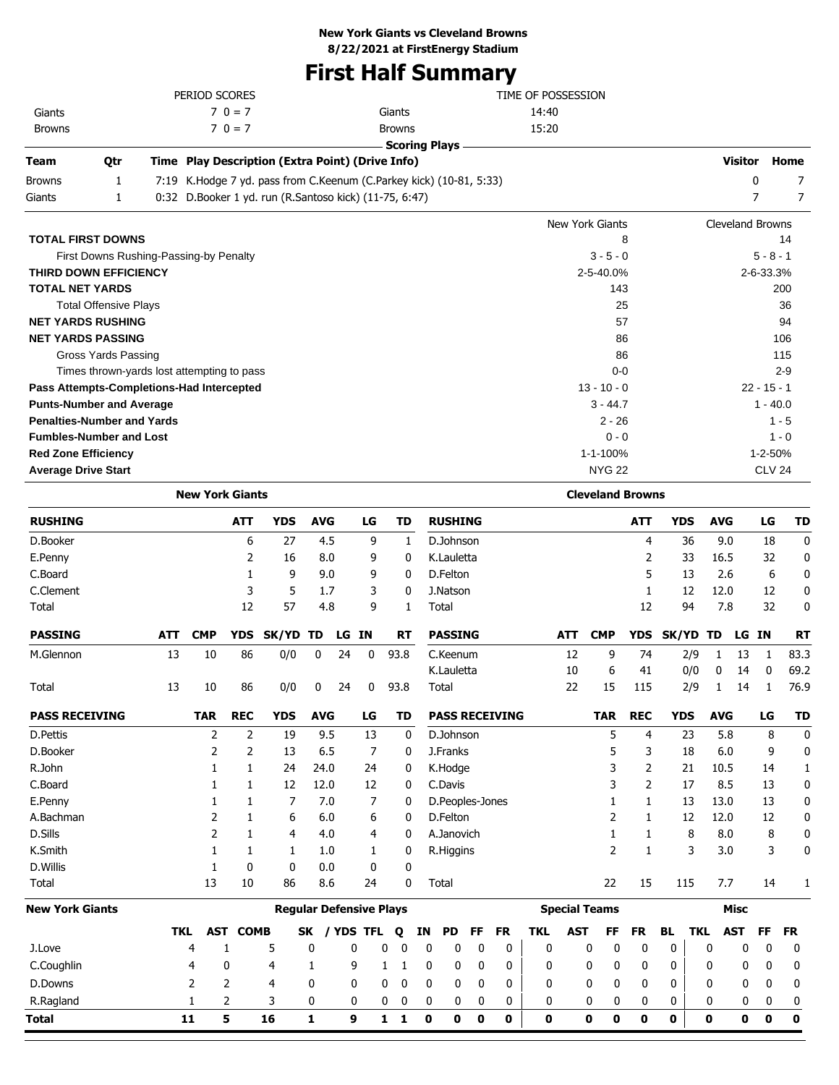### **New York Giants vs Cleveland Browns**

**8/22/2021 at FirstEnergy Stadium**

# **First Half Summary**

|                                            |     |            | PERIOD SCORES          |                              |                                                                     |                                |       |           |                      |    |                        |    |                       | TIME OF POSSESSION |            |                         |                |                         |                         |                |               |           |
|--------------------------------------------|-----|------------|------------------------|------------------------------|---------------------------------------------------------------------|--------------------------------|-------|-----------|----------------------|----|------------------------|----|-----------------------|--------------------|------------|-------------------------|----------------|-------------------------|-------------------------|----------------|---------------|-----------|
| Giants                                     |     |            |                        | $70 = 7$                     |                                                                     |                                |       |           | Giants               |    |                        |    |                       | 14:40              |            |                         |                |                         |                         |                |               |           |
| <b>Browns</b>                              |     |            |                        | $70 = 7$                     |                                                                     |                                |       |           | <b>Browns</b>        |    |                        |    |                       | 15:20              |            |                         |                |                         |                         |                |               |           |
|                                            |     |            |                        |                              |                                                                     |                                |       |           | <b>Scoring Plays</b> |    |                        |    |                       |                    |            |                         |                |                         |                         |                |               |           |
| Team                                       | Qtr |            |                        |                              | Time Play Description (Extra Point) (Drive Info)                    |                                |       |           |                      |    |                        |    |                       |                    |            |                         |                |                         |                         | <b>Visitor</b> |               | Home      |
| <b>Browns</b>                              | 1   |            |                        |                              | 7:19 K.Hodge 7 yd. pass from C.Keenum (C.Parkey kick) (10-81, 5:33) |                                |       |           |                      |    |                        |    |                       |                    |            |                         |                |                         |                         | 0              |               | 7         |
| Giants                                     | 1   |            |                        |                              | 0:32 D.Booker 1 yd. run (R.Santoso kick) (11-75, 6:47)              |                                |       |           |                      |    |                        |    |                       |                    |            |                         |                |                         |                         | 7              |               | 7         |
|                                            |     |            |                        |                              |                                                                     |                                |       |           |                      |    |                        |    |                       |                    |            | <b>New York Giants</b>  |                |                         | <b>Cleveland Browns</b> |                |               |           |
| <b>TOTAL FIRST DOWNS</b>                   |     |            |                        |                              |                                                                     |                                |       |           |                      |    |                        |    |                       |                    |            |                         | 8              |                         |                         |                |               | 14        |
| First Downs Rushing-Passing-by Penalty     |     |            |                        |                              |                                                                     |                                |       |           |                      |    |                        |    |                       |                    |            | $3 - 5 - 0$             |                |                         |                         |                | $5 - 8 - 1$   |           |
| THIRD DOWN EFFICIENCY                      |     |            |                        |                              |                                                                     |                                |       |           |                      |    |                        |    |                       |                    |            | 2-5-40.0%               |                |                         |                         | 2-6-33.3%      |               |           |
| <b>TOTAL NET YARDS</b>                     |     |            |                        |                              |                                                                     |                                |       |           |                      |    |                        |    |                       |                    |            | 143                     |                |                         |                         |                | 200           |           |
| <b>Total Offensive Plays</b>               |     |            |                        |                              |                                                                     |                                |       |           |                      |    |                        |    |                       |                    |            |                         | 25             |                         |                         |                |               | 36        |
| <b>NET YARDS RUSHING</b>                   |     |            |                        |                              |                                                                     |                                |       |           |                      |    |                        |    |                       |                    |            | 57                      |                |                         |                         |                |               | 94        |
| <b>NET YARDS PASSING</b>                   |     |            |                        |                              |                                                                     |                                |       |           |                      |    |                        |    |                       |                    |            |                         | 86             |                         |                         |                | 106           |           |
| <b>Gross Yards Passing</b>                 |     |            |                        |                              |                                                                     |                                |       |           |                      |    |                        |    |                       |                    |            |                         | 86             |                         |                         |                | 115           |           |
| Times thrown-yards lost attempting to pass |     |            |                        |                              |                                                                     |                                |       |           |                      |    |                        |    |                       |                    |            | $0 - 0$                 |                |                         |                         |                |               | $2 - 9$   |
| Pass Attempts-Completions-Had Intercepted  |     |            |                        |                              |                                                                     |                                |       |           |                      |    |                        |    |                       |                    |            | $13 - 10 - 0$           |                |                         |                         | $22 - 15 - 1$  |               |           |
| <b>Punts-Number and Average</b>            |     |            |                        |                              |                                                                     |                                |       |           |                      |    |                        |    |                       |                    |            | $3 - 44.7$              |                |                         |                         |                | $1 - 40.0$    |           |
| <b>Penalties-Number and Yards</b>          |     |            |                        |                              |                                                                     |                                |       |           |                      |    |                        |    |                       |                    |            | $2 - 26$                |                |                         |                         |                | $1 - 5$       |           |
| <b>Fumbles-Number and Lost</b>             |     |            |                        |                              |                                                                     |                                |       |           |                      |    |                        |    |                       |                    |            | $0 - 0$                 |                |                         |                         |                | $1 - 0$       |           |
| <b>Red Zone Efficiency</b>                 |     |            |                        |                              |                                                                     |                                |       |           |                      |    |                        |    |                       |                    |            | 1-1-100%                |                |                         |                         |                | $1 - 2 - 50%$ |           |
| <b>Average Drive Start</b>                 |     |            |                        |                              |                                                                     |                                |       |           |                      |    |                        |    |                       |                    |            | <b>NYG 22</b>           |                |                         |                         |                | <b>CLV 24</b> |           |
|                                            |     |            | <b>New York Giants</b> |                              |                                                                     |                                |       |           |                      |    |                        |    |                       |                    |            | <b>Cleveland Browns</b> |                |                         |                         |                |               |           |
| <b>RUSHING</b>                             |     |            |                        | <b>ATT</b>                   | <b>YDS</b>                                                          | <b>AVG</b>                     |       | LG        | <b>TD</b>            |    | <b>RUSHING</b>         |    |                       |                    |            |                         | <b>ATT</b>     | <b>YDS</b>              | <b>AVG</b>              |                | LG            | TD        |
| D.Booker                                   |     |            |                        | 6                            | 27                                                                  | 4.5                            |       | 9         | 1                    |    | D.Johnson              |    |                       |                    |            |                         | 4              | 36                      | 9.0                     |                | 18            | 0         |
| E.Penny                                    |     |            |                        | 2                            | 16                                                                  | 8.0                            |       | 9         | 0                    |    | K.Lauletta             |    |                       |                    |            |                         | 2              | 33                      | 16.5                    |                | 32            | 0         |
| C.Board                                    |     |            |                        | 1                            | 9                                                                   | 9.0                            |       | 9         | 0                    |    | D.Felton               |    |                       |                    |            |                         | 5              | 13                      | 2.6                     |                | 6             | 0         |
| C.Clement                                  |     |            |                        | 3                            | 5                                                                   | 1.7                            |       | 3         | 0                    |    | J.Natson               |    |                       |                    |            |                         | 1              | 12                      | 12.0                    |                | 12            | 0         |
| Total                                      |     |            |                        | 12                           | 57                                                                  | 4.8                            |       | 9         | 1                    |    | Total                  |    |                       |                    |            |                         | 12             | 94                      | 7.8                     |                | 32            | 0         |
| <b>PASSING</b>                             |     | ATT        | <b>CMP</b>             | <b>YDS</b>                   | SK/YD                                                               | TD                             | LG IN |           | RT                   |    | <b>PASSING</b>         |    |                       |                    | <b>ATT</b> | <b>CMP</b>              | <b>YDS</b>     | SK/YD TD                |                         | LG IN          |               | <b>RT</b> |
| M.Glennon                                  |     | 13         | 10                     | 86                           | 0/0                                                                 | 0                              | 24    | 0         | 93.8                 |    | C.Keenum               |    |                       |                    | 12         | 9                       | 74             | 2/9                     | $\mathbf{1}$            | 13             | -1            | 83.3      |
|                                            |     |            |                        |                              |                                                                     |                                |       |           |                      |    | K.Lauletta             |    |                       |                    | 10         | 6                       | 41             | 0/0                     | 0                       | 14             | 0             | 69.2      |
| Total                                      |     | 13         | 10                     | 86                           | 0/0                                                                 | 0                              | 24    | 0         | 93.8                 |    | Total                  |    |                       |                    | 22         | 15                      | 115            | 2/9                     | $\mathbf{1}$            | 14             | 1             | 76.9      |
|                                            |     |            |                        |                              |                                                                     |                                |       |           |                      |    |                        |    |                       |                    |            |                         |                |                         |                         |                |               |           |
| <b>PASS RECEIVING</b>                      |     |            | <b>TAR</b>             | <b>REC</b>                   | <b>YDS</b>                                                          | <b>AVG</b>                     |       | LG        | TD                   |    |                        |    | <b>PASS RECEIVING</b> |                    |            | <b>TAR</b>              | <b>REC</b>     | <b>YDS</b>              | <b>AVG</b>              |                | LG            | TD        |
| D.Pettis                                   |     |            | 2                      | $\overline{2}$               | 19                                                                  | 9.5                            |       | 13        | 0                    |    | D.Johnson              |    |                       |                    |            | 5                       | 4              | 23                      | 5.8                     |                | 8             | 0         |
| D.Booker                                   |     |            | 2                      | $\overline{2}$               | 13                                                                  | 6.5                            |       | 7         | 0                    |    | J.Franks               |    |                       |                    |            | 5                       | 3              | 18                      | 6.0                     |                | 9             | 0         |
| R.John                                     |     |            | 1                      | $\mathbf{1}$                 | 24                                                                  | 24.0                           |       | 24        | 0                    |    | K.Hodge                |    |                       |                    |            | 3                       | 2              | 21                      | 10.5                    |                | 14            | 1         |
| C.Board                                    |     |            | 1                      | $\mathbf{1}$                 | 12                                                                  | 12.0                           |       | 12        | 0                    |    | C.Davis                |    |                       |                    |            | 3                       | $\overline{2}$ | 17                      | 8.5                     |                | 13            | 0         |
| E.Penny                                    |     |            | 1                      | $\mathbf{1}$                 | 7                                                                   | 7.0                            |       | 7         | 0                    |    | D.Peoples-Jones        |    |                       |                    |            | 1                       | 1              | 13                      | 13.0                    |                | 13            | 0         |
| A.Bachman<br>D.Sills                       |     |            | 2<br>2                 | $\mathbf{1}$<br>$\mathbf{1}$ | 6<br>4                                                              | 6.0<br>4.0                     |       | 6<br>4    | 0<br>0               |    | D.Felton<br>A.Janovich |    |                       |                    |            | 2<br>1                  | 1<br>1         | 12<br>8                 | 12.0<br>8.0             |                | 12<br>8       | 0<br>0    |
| K.Smith                                    |     |            | 1                      | 1                            | 1                                                                   | 1.0                            |       | 1         | 0                    |    | R.Higgins              |    |                       |                    |            | 2                       | 1              | 3                       | 3.0                     |                | 3             | 0         |
| D.Willis                                   |     |            | 1                      | 0                            | 0                                                                   | 0.0                            |       | 0         | 0                    |    |                        |    |                       |                    |            |                         |                |                         |                         |                |               |           |
| Total                                      |     |            | 13                     | 10                           | 86                                                                  | 8.6                            |       | 24        | 0                    |    | Total                  |    |                       |                    |            | 22                      | 15             | 115                     | 7.7                     |                | 14            | 1         |
|                                            |     |            |                        |                              |                                                                     |                                |       |           |                      |    |                        |    |                       |                    |            |                         |                |                         |                         |                |               |           |
| <b>New York Giants</b>                     |     |            |                        |                              |                                                                     | <b>Regular Defensive Plays</b> |       |           |                      |    |                        |    |                       |                    |            | <b>Special Teams</b>    |                |                         |                         | <b>Misc</b>    |               |           |
|                                            |     | <b>TKL</b> |                        | <b>AST COMB</b>              |                                                                     | <b>SK</b>                      |       | / YDS TFL | Q                    | IN | PD.                    | FF | <b>FR</b>             | <b>TKL</b>         | <b>AST</b> | FF                      | <b>FR</b>      | <b>BL</b><br><b>TKL</b> | <b>AST</b>              |                | FF            | FR        |
| J.Love                                     |     |            | 4                      | 1                            | 5                                                                   | 0                              | 0     |           | 0<br>0               | 0  | 0                      | 0  | 0                     | 0                  |            | 0<br>0                  | 0              | 0                       | 0                       | 0              | 0             | 0         |
| C.Coughlin                                 |     |            | 4                      | 0                            | 4                                                                   | 1                              | 9     |           | 1<br>1               | 0  | 0                      | 0  | 0                     | 0                  |            | 0<br>0                  | 0              | 0                       | 0                       | 0              | 0             | 0         |
| D.Downs                                    |     |            | 2                      | 2                            | 4                                                                   | 0                              | 0     |           | 0<br>0               | 0  | 0                      | 0  | 0                     | 0                  |            | 0<br>0                  | 0              | 0                       | 0                       | 0              | 0             | 0         |
| R.Ragland                                  |     |            | 1                      | 2                            | 3                                                                   | 0                              | 0     |           | 0<br>0               | 0  | 0                      | 0  | 0                     | 0                  |            | 0<br>0                  | 0              | 0                       | 0                       | 0              | 0             | 0         |
| <b>Total</b>                               |     |            | 11                     | 5                            | 16                                                                  | 1                              | 9     |           | 1 1                  | 0  | 0                      | 0  | 0                     | 0                  |            | 0<br>0                  | 0              | 0                       | 0                       | 0              | 0             | 0         |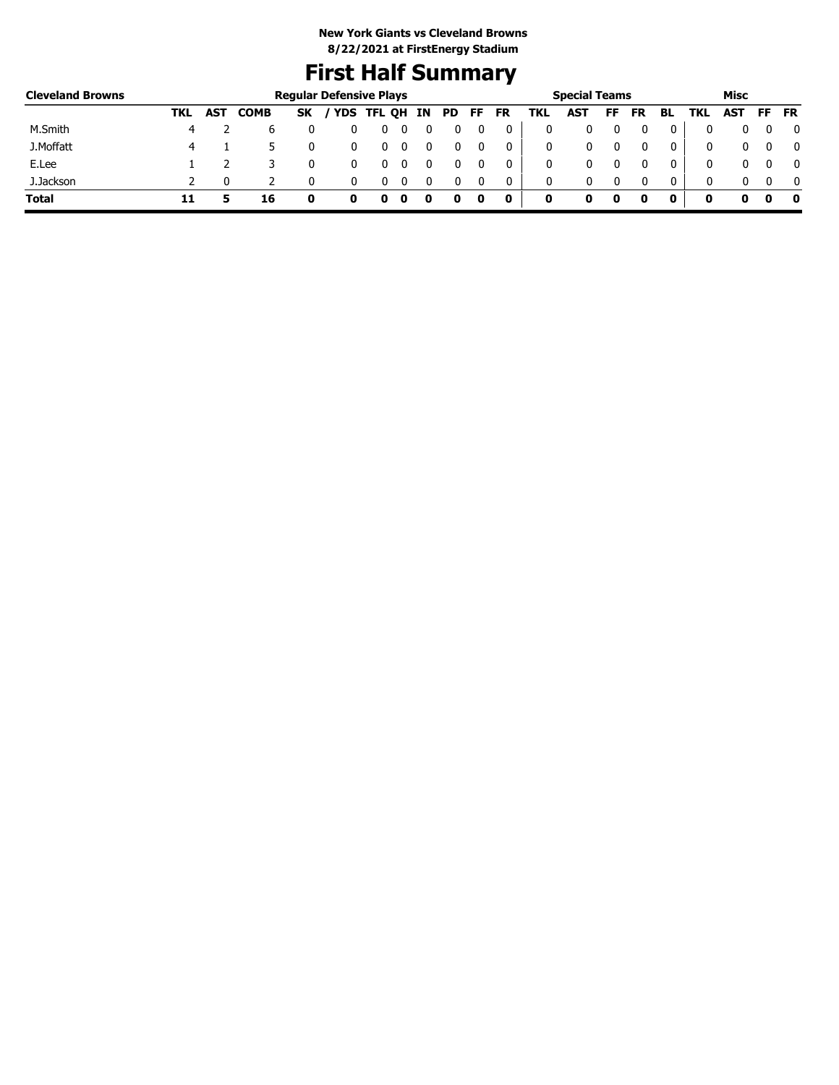# **First Half Summary**

| <b>Cleveland Browns</b> |     |            |             | <b>Regular Defensive Plays</b> |              |   |    |    |    |    |     | <b>Special Teams</b> |    |           |    |     | Misc |     |           |
|-------------------------|-----|------------|-------------|--------------------------------|--------------|---|----|----|----|----|-----|----------------------|----|-----------|----|-----|------|-----|-----------|
|                         | TKL | <b>AST</b> | <b>COMB</b> | <b>SK</b>                      | / YDS TFL QH |   | IN | PD | FF | FR | TKL | AST                  | FF | <b>FR</b> | BL | TKL | AST  | FF. | <b>FR</b> |
| M.Smith                 | 4   |            | b           |                                |              | U |    |    |    | 0  | 0   |                      |    |           | 0  |     |      |     | 0         |
| J.Moffatt               |     |            |             |                                |              | 0 |    |    |    | 0  | 0   |                      |    |           | 0  |     |      |     | 0         |
| E.Lee                   |     |            |             |                                |              |   |    |    |    |    | 0   |                      |    |           | 0  |     |      |     | 0         |
| J.Jackson               |     |            |             |                                |              |   |    |    |    | 0  | 0   |                      |    |           | 0  |     |      |     | $\Omega$  |
| <b>Total</b>            | 11  |            | 16          |                                |              |   |    |    |    | 0  | 0   | o                    | 0  |           |    | o   |      |     | 0         |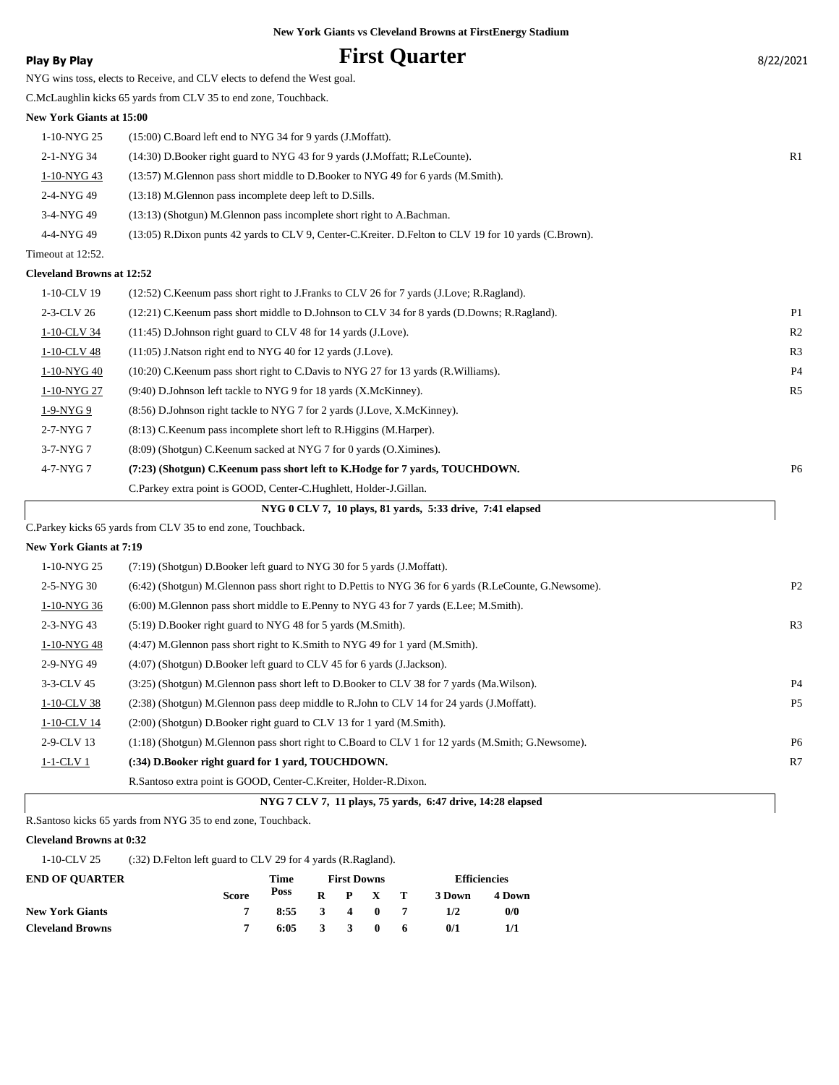| 8/22/2021 |  |
|-----------|--|
|           |  |

| <b>Play By Play</b>              | <b>First Quarter</b>                                                                                   | 8/22/2021      |
|----------------------------------|--------------------------------------------------------------------------------------------------------|----------------|
|                                  | NYG wins toss, elects to Receive, and CLV elects to defend the West goal.                              |                |
|                                  | C.McLaughlin kicks 65 yards from CLV 35 to end zone, Touchback.                                        |                |
| <b>New York Giants at 15:00</b>  |                                                                                                        |                |
| 1-10-NYG 25                      | (15:00) C.Board left end to NYG 34 for 9 yards (J.Moffatt).                                            |                |
| 2-1-NYG 34                       | (14:30) D.Booker right guard to NYG 43 for 9 yards (J.Moffatt; R.LeCounte).                            | R1             |
| 1-10-NYG 43                      | (13:57) M.Glennon pass short middle to D.Booker to NYG 49 for 6 yards (M.Smith).                       |                |
| 2-4-NYG 49                       | (13:18) M.Glennon pass incomplete deep left to D.Sills.                                                |                |
| 3-4-NYG 49                       | (13:13) (Shotgun) M.Glennon pass incomplete short right to A.Bachman.                                  |                |
| 4-4-NYG 49                       | (13:05) R.Dixon punts 42 yards to CLV 9, Center-C.Kreiter. D.Felton to CLV 19 for 10 yards (C.Brown).  |                |
| Timeout at 12:52.                |                                                                                                        |                |
| <b>Cleveland Browns at 12:52</b> |                                                                                                        |                |
| 1-10-CLV 19                      | (12:52) C.Keenum pass short right to J.Franks to CLV 26 for 7 yards (J.Love; R.Ragland).               |                |
| 2-3-CLV 26                       | (12:21) C.Keenum pass short middle to D.Johnson to CLV 34 for 8 yards (D.Downs; R.Ragland).            | P1             |
| 1-10-CLV 34                      | (11:45) D.Johnson right guard to CLV 48 for 14 yards (J.Love).                                         | R <sub>2</sub> |
| 1-10-CLV 48                      | $(11:05)$ J. Natson right end to NYG 40 for 12 yards (J. Love).                                        | R <sub>3</sub> |
| 1-10-NYG 40                      | (10:20) C.Keenum pass short right to C.Davis to NYG 27 for 13 yards (R.Williams).                      | P <sub>4</sub> |
| 1-10-NYG 27                      | (9:40) D.Johnson left tackle to NYG 9 for 18 yards (X.McKinney).                                       | R <sub>5</sub> |
| 1-9-NYG 9                        | (8:56) D.Johnson right tackle to NYG 7 for 2 yards (J.Love, X.McKinney).                               |                |
| $2-7-NYG$ 7                      | (8:13) C.Keenum pass incomplete short left to R.Higgins (M.Harper).                                    |                |
| $3-7-NYG$ 7                      | $(8:09)$ (Shotgun) C.Keenum sacked at NYG 7 for 0 yards (O.Ximines).                                   |                |
| 4-7-NYG 7                        | (7:23) (Shotgun) C.Keenum pass short left to K.Hodge for 7 yards, TOUCHDOWN.                           | P <sub>6</sub> |
|                                  | C.Parkey extra point is GOOD, Center-C.Hughlett, Holder-J.Gillan.                                      |                |
|                                  | NYG 0 CLV 7, 10 plays, 81 yards, 5:33 drive, 7:41 elapsed                                              |                |
|                                  | C.Parkey kicks 65 yards from CLV 35 to end zone, Touchback.                                            |                |
| <b>New York Giants at 7:19</b>   |                                                                                                        |                |
| 1-10-NYG 25                      | (7:19) (Shotgun) D.Booker left guard to NYG 30 for 5 yards (J.Moffatt).                                |                |
| 2-5-NYG 30                       | (6:42) (Shotgun) M.Glennon pass short right to D.Pettis to NYG 36 for 6 yards (R.LeCounte, G.Newsome). | P <sub>2</sub> |
| 1-10-NYG 36                      | (6:00) M. Glennon pass short middle to E. Penny to NYG 43 for 7 yards (E. Lee; M. Smith).              |                |
| 2-3-NYG 43                       | (5:19) D.Booker right guard to NYG 48 for 5 yards (M.Smith).                                           | R <sub>3</sub> |
| 1-10-NYG 48                      | (4:47) M.Glennon pass short right to K.Smith to NYG 49 for 1 yard (M.Smith).                           |                |
| 2-9-NYG 49                       | (4:07) (Shotgun) D.Booker left guard to CLV 45 for 6 yards (J.Jackson).                                |                |
| 3-3-CLV 45                       | (3:25) (Shotgun) M.Glennon pass short left to D.Booker to CLV 38 for 7 yards (Ma.Wilson).              | P <sub>4</sub> |
| 1-10-CLV 38                      | (2:38) (Shotgun) M.Glennon pass deep middle to R.John to CLV 14 for 24 yards (J.Moffatt).              | P5             |
| 1-10-CLV 14                      | (2:00) (Shotgun) D.Booker right guard to CLV 13 for 1 yard (M.Smith).                                  |                |
| 2-9-CLV 13                       | (1:18) (Shotgun) M.Glennon pass short right to C.Board to CLV 1 for 12 yards (M.Smith; G.Newsome).     | P <sub>6</sub> |
| $1-1-CLV1$                       | (:34) D.Booker right guard for 1 yard, TOUCHDOWN.                                                      | R7             |

 **NYG 7 CLV 7, 11 plays, 75 yards, 6:47 drive, 14:28 elapsed**

R.Santoso kicks 65 yards from NYG 35 to end zone, Touchback.

#### **Cleveland Browns at 0:32**

1-10-CLV 25 (:32) D.Felton left guard to CLV 29 for 4 yards (R.Ragland).

| <b>END OF OUARTER</b>   |              | Time                   |  |  |                 | Efficiencies |        |  |
|-------------------------|--------------|------------------------|--|--|-----------------|--------------|--------|--|
|                         | <b>Score</b> | Poss                   |  |  | $R$ $P$ $X$ $T$ | 3 Down       | 4 Down |  |
| <b>New York Giants</b>  |              | $8:55 \t3 \t4 \t0 \t7$ |  |  |                 | 1/2          | 0/0    |  |
| <b>Cleveland Browns</b> |              | $6:05 \t3 \t3 \t0 \t6$ |  |  |                 | 0/1          | 1/1    |  |

R.Santoso extra point is GOOD, Center-C.Kreiter, Holder-R.Dixon.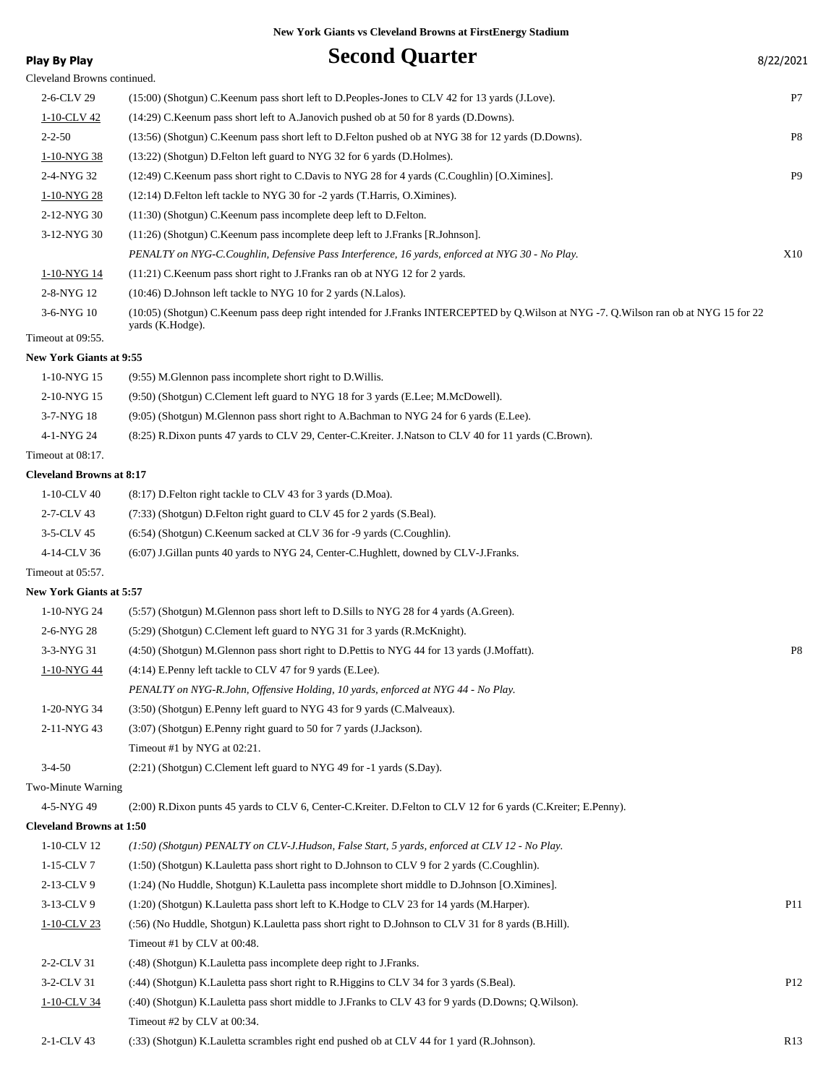| Play By Play                    | <b>Second Quarter</b>                                                                                                                                    | 8/22/2021       |
|---------------------------------|----------------------------------------------------------------------------------------------------------------------------------------------------------|-----------------|
| Cleveland Browns continued.     |                                                                                                                                                          |                 |
| 2-6-CLV 29                      | (15:00) (Shotgun) C. Keenum pass short left to D. Peoples-Jones to CLV 42 for 13 yards (J. Love).                                                        | P7              |
| 1-10-CLV 42                     | (14:29) C.Keenum pass short left to A.Janovich pushed ob at 50 for 8 yards (D.Downs).                                                                    |                 |
| $2 - 2 - 50$                    | (13:56) (Shotgun) C.Keenum pass short left to D.Felton pushed ob at NYG 38 for 12 yards (D.Downs).                                                       | P8              |
| 1-10-NYG 38                     | (13:22) (Shotgun) D.Felton left guard to NYG 32 for 6 yards (D.Holmes).                                                                                  |                 |
| 2-4-NYG 32                      | (12:49) C.Keenum pass short right to C.Davis to NYG 28 for 4 yards (C.Coughlin) [O.Ximines].                                                             | P <sub>9</sub>  |
| 1-10-NYG 28                     | (12:14) D. Felton left tackle to NYG 30 for -2 yards (T. Harris, O. Ximines).                                                                            |                 |
| 2-12-NYG 30                     | (11:30) (Shotgun) C.Keenum pass incomplete deep left to D.Felton.                                                                                        |                 |
| 3-12-NYG 30                     | (11:26) (Shotgun) C.Keenum pass incomplete deep left to J.Franks [R.Johnson].                                                                            |                 |
|                                 | PENALTY on NYG-C.Coughlin, Defensive Pass Interference, 16 yards, enforced at NYG 30 - No Play.                                                          | X10             |
| 1-10-NYG 14                     | $(11:21)$ C. Keenum pass short right to J. Franks ran ob at NYG 12 for 2 yards.                                                                          |                 |
| 2-8-NYG 12                      | (10:46) D.Johnson left tackle to NYG 10 for 2 yards (N.Lalos).                                                                                           |                 |
| 3-6-NYG 10                      | (10:05) (Shotgun) C.Keenum pass deep right intended for J.Franks INTERCEPTED by Q.Wilson at NYG -7. Q.Wilson ran ob at NYG 15 for 22<br>yards (K.Hodge). |                 |
| Timeout at 09:55.               |                                                                                                                                                          |                 |
| <b>New York Giants at 9:55</b>  |                                                                                                                                                          |                 |
| 1-10-NYG 15                     | (9:55) M. Glennon pass incomplete short right to D. Willis.                                                                                              |                 |
| 2-10-NYG 15                     | (9:50) (Shotgun) C.Clement left guard to NYG 18 for 3 yards (E.Lee; M.McDowell).                                                                         |                 |
| 3-7-NYG 18                      | (9:05) (Shotgun) M.Glennon pass short right to A.Bachman to NYG 24 for 6 yards (E.Lee).                                                                  |                 |
| 4-1-NYG 24                      | (8:25) R.Dixon punts 47 yards to CLV 29, Center-C.Kreiter. J.Natson to CLV 40 for 11 yards (C.Brown).                                                    |                 |
| Timeout at 08:17.               |                                                                                                                                                          |                 |
| <b>Cleveland Browns at 8:17</b> |                                                                                                                                                          |                 |
| 1-10-CLV 40                     | (8:17) D. Felton right tackle to CLV 43 for 3 yards (D. Moa).                                                                                            |                 |
| 2-7-CLV 43                      | (7:33) (Shotgun) D. Felton right guard to CLV 45 for 2 yards (S. Beal).                                                                                  |                 |
| 3-5-CLV 45                      | (6:54) (Shotgun) C.Keenum sacked at CLV 36 for -9 yards (C.Coughlin).                                                                                    |                 |
| 4-14-CLV 36                     | (6:07) J.Gillan punts 40 yards to NYG 24, Center-C.Hughlett, downed by CLV-J.Franks.                                                                     |                 |
| Timeout at 05:57.               |                                                                                                                                                          |                 |
| <b>New York Giants at 5:57</b>  |                                                                                                                                                          |                 |
| 1-10-NYG 24                     | (5:57) (Shotgun) M.Glennon pass short left to D.Sills to NYG 28 for 4 yards (A.Green).                                                                   |                 |
| 2-6-NYG 28                      | (5:29) (Shotgun) C.Clement left guard to NYG 31 for 3 yards (R.McKnight).                                                                                |                 |
| 3-3-NYG 31                      | (4:50) (Shotgun) M.Glennon pass short right to D.Pettis to NYG 44 for 13 yards (J.Moffatt).                                                              | P8              |
| 1-10-NYG 44                     | $(4:14)$ E.Penny left tackle to CLV 47 for 9 yards (E.Lee).                                                                                              |                 |
|                                 | PENALTY on NYG-R.John, Offensive Holding, 10 yards, enforced at NYG 44 - No Play.                                                                        |                 |
| 1-20-NYG 34                     | (3:50) (Shotgun) E.Penny left guard to NYG 43 for 9 yards (C.Malveaux).                                                                                  |                 |
| 2-11-NYG 43                     | (3:07) (Shotgun) E.Penny right guard to 50 for 7 yards (J.Jackson).                                                                                      |                 |
|                                 | Timeout #1 by NYG at 02:21.                                                                                                                              |                 |
| $3-4-50$                        | (2:21) (Shotgun) C.Clement left guard to NYG 49 for -1 yards (S.Day).                                                                                    |                 |
| Two-Minute Warning              |                                                                                                                                                          |                 |
| 4-5-NYG 49                      | (2:00) R.Dixon punts 45 yards to CLV 6, Center-C.Kreiter. D.Felton to CLV 12 for 6 yards (C.Kreiter; E.Penny).                                           |                 |
| <b>Cleveland Browns at 1:50</b> |                                                                                                                                                          |                 |
| 1-10-CLV 12                     | (1:50) (Shotgun) PENALTY on CLV-J.Hudson, False Start, 5 yards, enforced at CLV 12 - No Play.                                                            |                 |
| 1-15-CLV 7                      | (1:50) (Shotgun) K.Lauletta pass short right to D.Johnson to CLV 9 for 2 yards (C.Coughlin).                                                             |                 |
| 2-13-CLV 9                      | (1:24) (No Huddle, Shotgun) K.Lauletta pass incomplete short middle to D.Johnson [O.Ximines].                                                            |                 |
| 3-13-CLV 9                      | (1:20) (Shotgun) K.Lauletta pass short left to K.Hodge to CLV 23 for 14 yards (M.Harper).                                                                | P <sub>11</sub> |
| $1-10$ -CLV 23                  | (:56) (No Huddle, Shotgun) K.Lauletta pass short right to D.Johnson to CLV 31 for 8 yards (B.Hill).                                                      |                 |
|                                 | Timeout #1 by CLV at 00:48.                                                                                                                              |                 |
| 2-2-CLV 31                      | (:48) (Shotgun) K.Lauletta pass incomplete deep right to J.Franks.                                                                                       |                 |
| 3-2-CLV 31                      | (:44) (Shotgun) K.Lauletta pass short right to R.Higgins to CLV 34 for 3 yards (S.Beal).                                                                 | P <sub>12</sub> |
| 1-10-CLV 34                     | (:40) (Shotgun) K.Lauletta pass short middle to J.Franks to CLV 43 for 9 yards (D.Downs; Q.Wilson).                                                      |                 |
|                                 | Timeout #2 by CLV at 00:34.                                                                                                                              |                 |

2-1-CLV 43 (:33) (Shotgun) K.Lauletta scrambles right end pushed ob at CLV 44 for 1 yard (R.Johnson). R13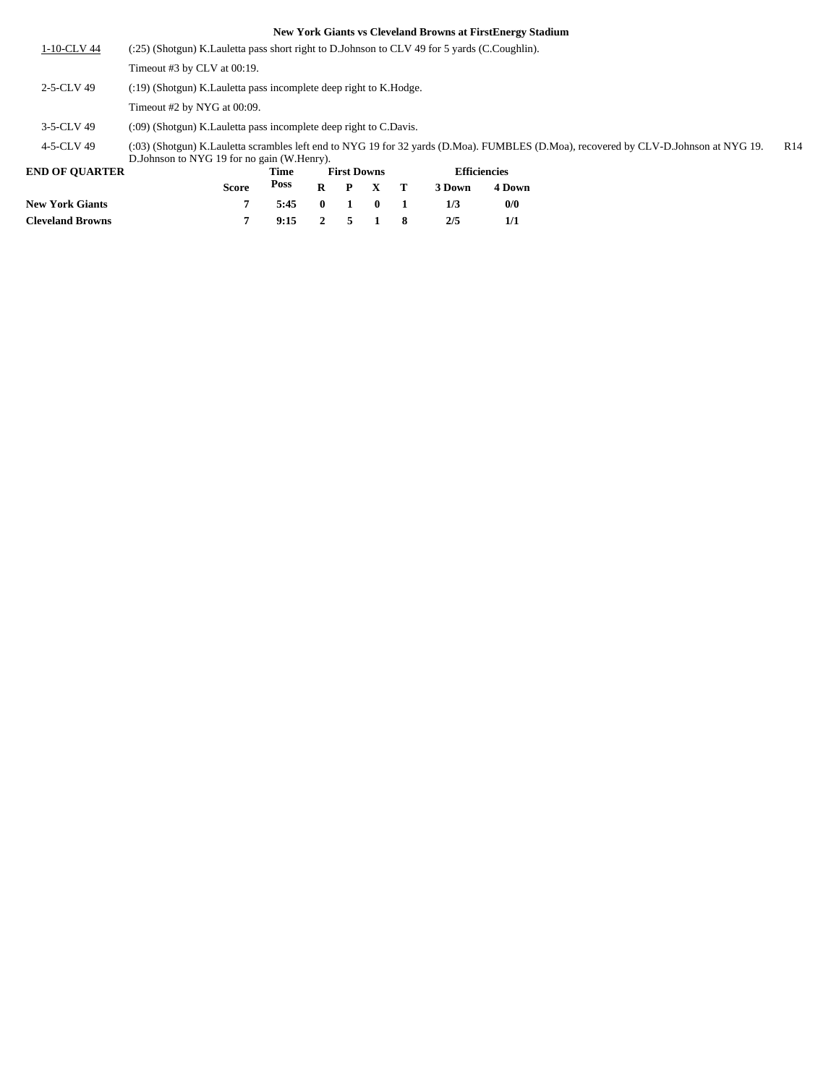| 1-10-CLV 44 | (:25) (Shotgun) K.Lauletta pass short right to D.Johnson to CLV 49 for 5 yards (C.Coughlin).                                                                                         |                 |
|-------------|--------------------------------------------------------------------------------------------------------------------------------------------------------------------------------------|-----------------|
|             | Timeout #3 by CLV at 00:19.                                                                                                                                                          |                 |
| 2-5-CLV 49  | $(19)$ (Shotgun) K. Lauletta pass incomplete deep right to K. Hodge.                                                                                                                 |                 |
|             | Timeout #2 by NYG at 00:09.                                                                                                                                                          |                 |
| 3-5-CLV 49  | $(0.09)$ (Shotgun) K. Lauletta pass incomplete deep right to C. Davis.                                                                                                               |                 |
| 4-5-CLV 49  | (:03) (Shotgun) K.Lauletta scrambles left end to NYG 19 for 32 yards (D.Moa). FUMBLES (D.Moa), recovered by CLV-D.Johnson at NYG 19.<br>D. Johnson to NYG 19 for no gain (W. Henry). | R <sub>14</sub> |

| <b>END OF OUARTER</b>   |              | Time           | <b>First Downs</b> |                 | <b>Efficiencies</b> |        |
|-------------------------|--------------|----------------|--------------------|-----------------|---------------------|--------|
|                         | <b>Score</b> | Poss           |                    | $R$ $P$ $X$ $T$ | 3 Down              | 4 Down |
| <b>New York Giants</b>  |              | 5:45 0 1 0 1   |                    |                 | 173                 | 0/0    |
| <b>Cleveland Browns</b> |              | $9:15$ 2 5 1 8 |                    |                 | 2/5                 |        |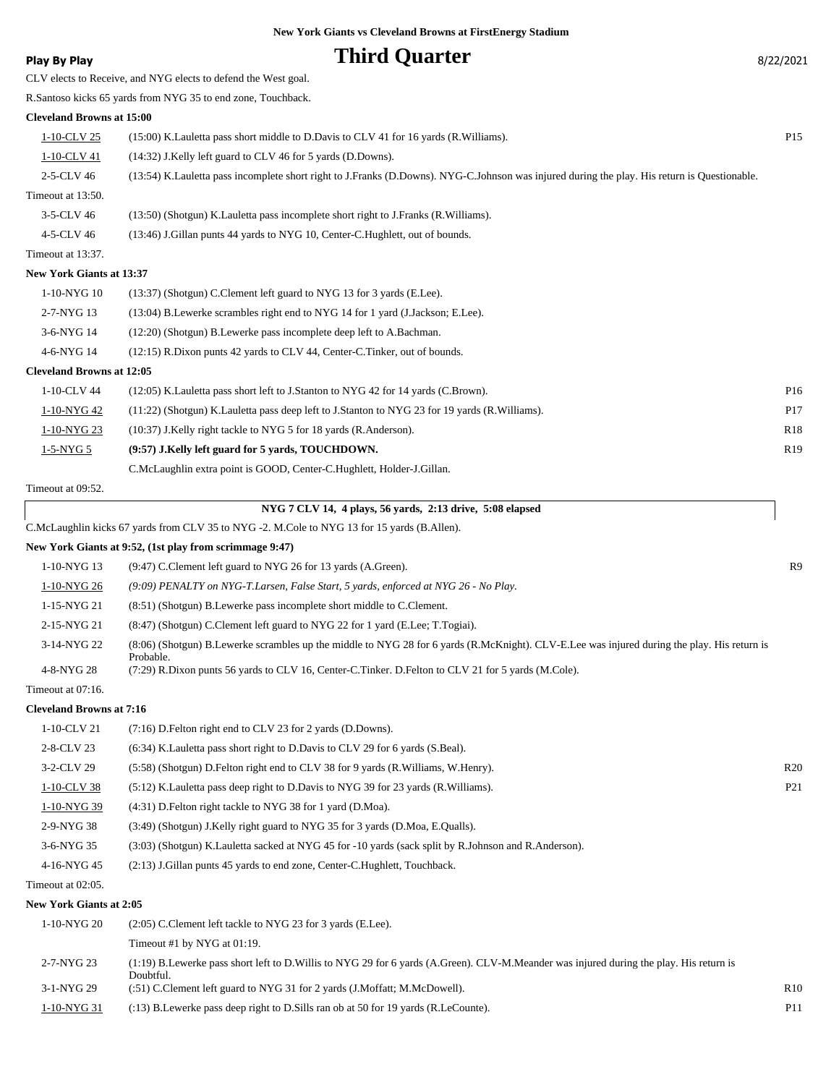### **Play By Play Play Play Play Play By Play Play By Play By Play By Play By Play By Play By Play By Play By Play By Play By Play By Play By Play By Play By Play By Play By Play By Pl**

| CLV elects to Receive, and NYG elects to defend the West goal. |  |  |
|----------------------------------------------------------------|--|--|
|----------------------------------------------------------------|--|--|

R.Santoso kicks 65 yards from NYG 35 to end zone, Touchback.

#### **Cleveland Browns at 15:00**

| 1-10-CLV 25                      | (15:00) K. Lauletta pass short middle to D. Davis to CLV 41 for 16 yards (R. Williams).                                                      | P <sub>15</sub> |
|----------------------------------|----------------------------------------------------------------------------------------------------------------------------------------------|-----------------|
| 1-10-CLV 41                      | (14:32) J.Kelly left guard to CLV 46 for 5 yards (D.Downs).                                                                                  |                 |
| 2-5-CLV 46                       | (13:54) K.Lauletta pass incomplete short right to J.Franks (D.Downs). NYG-C.Johnson was injured during the play. His return is Questionable. |                 |
| Timeout at 13:50.                |                                                                                                                                              |                 |
| 3-5-CLV 46                       | (13:50) (Shotgun) K.Lauletta pass incomplete short right to J.Franks (R.Williams).                                                           |                 |
| 4-5-CLV 46                       | (13:46) J. Gillan punts 44 yards to NYG 10, Center-C. Hughlett, out of bounds.                                                               |                 |
| Timeout at 13:37.                |                                                                                                                                              |                 |
| <b>New York Giants at 13:37</b>  |                                                                                                                                              |                 |
| 1-10-NYG 10                      | (13:37) (Shotgun) C.Clement left guard to NYG 13 for 3 yards (E.Lee).                                                                        |                 |
| 2-7-NYG 13                       | (13:04) B.Lewerke scrambles right end to NYG 14 for 1 yard (J.Jackson; E.Lee).                                                               |                 |
| 3-6-NYG 14                       | (12:20) (Shotgun) B.Lewerke pass incomplete deep left to A.Bachman.                                                                          |                 |
| 4-6-NYG 14                       | (12:15) R.Dixon punts 42 yards to CLV 44, Center-C.Tinker, out of bounds.                                                                    |                 |
| <b>Cleveland Browns at 12:05</b> |                                                                                                                                              |                 |
| 1-10-CLV 44                      | (12:05) K. Lauletta pass short left to J. Stanton to NYG 42 for 14 yards (C. Brown).                                                         | P <sub>16</sub> |
| 1-10-NYG 42                      | (11:22) (Shotgun) K.Lauletta pass deep left to J.Stanton to NYG 23 for 19 yards (R.Williams).                                                | P17             |
| 1-10-NYG 23                      | (10:37) J.Kelly right tackle to NYG 5 for 18 yards (R.Anderson).                                                                             | <b>R18</b>      |
| $1-5-NYG~5$                      | (9:57) J.Kelly left guard for 5 yards, TOUCHDOWN.                                                                                            | R19             |
|                                  | C.McLaughlin extra point is GOOD, Center-C.Hughlett, Holder-J.Gillan.                                                                        |                 |

Timeout at 09:52.

|                                  | NYG 7 CLV 14, 4 plays, 56 yards, 2:13 drive, 5:08 elapsed                                                                                                |                |
|----------------------------------|----------------------------------------------------------------------------------------------------------------------------------------------------------|----------------|
|                                  | C.McLaughlin kicks 67 yards from CLV 35 to NYG -2. M.Cole to NYG 13 for 15 yards (B.Allen).                                                              |                |
|                                  | New York Giants at 9:52, (1st play from scrimmage 9:47)                                                                                                  |                |
| $1-10-NYG$ 13                    | (9:47) C.Clement left guard to NYG 26 for 13 yards (A.Green).                                                                                            | R <sub>9</sub> |
| 1-10-NYG 26                      | $(9.09)$ PENALTY on NYG-T.Larsen, False Start, 5 yards, enforced at NYG 26 - No Play.                                                                    |                |
| 1-15-NYG 21                      | (8.51) (Shotgun) B.Lewerke pass incomplete short middle to C.Clement.                                                                                    |                |
| 2-15-NYG 21                      | (8.47) (Shotgun) C.Clement left guard to NYG 22 for 1 yard (E.Lee: T.Togiai).                                                                            |                |
| 3-14-NYG 22                      | (8:06) (Shotgun) B.Lewerke scrambles up the middle to NYG 28 for 6 yards (R.McKnight). CLV-E.Lee was injured during the play. His return is<br>Probable. |                |
| 4-8-NYG 28                       | (7:29) R.Dixon punts 56 yards to CLV 16, Center-C.Tinker. D.Felton to CLV 21 for 5 yards (M.Cole).                                                       |                |
| $T_{\text{measured}}$ of $07.16$ |                                                                                                                                                          |                |

### Timeout at 07:16.

### **Cleveland Browns at 7:16**

| $1-10$ -CLV 21 | $(7:16)$ D. Felton right end to CLV 23 for 2 yards (D. Downs).                                       |                 |
|----------------|------------------------------------------------------------------------------------------------------|-----------------|
| 2-8-CLV 23     | $(6.34)$ K. Lauletta pass short right to D. Davis to CLV 29 for 6 yards (S. Beal).                   |                 |
| $3-2$ -CLV 29  | (5:58) (Shotgun) D. Felton right end to CLV 38 for 9 yards (R. Williams, W. Henry).                  | R20             |
| 1-10-CLV 38    | (5.12) K.Lauletta pass deep right to D.Davis to NYG 39 for 23 yards (R.Williams).                    | P <sub>21</sub> |
| 1-10-NYG 39    | (4:31) D. Felton right tackle to NYG 38 for 1 yard (D. Moa).                                         |                 |
| 2-9-NYG 38     | $(3:49)$ (Shotgun) J.Kelly right guard to NYG 35 for 3 yards (D.Moa, E.Qualls).                      |                 |
| $3-6-NYG$ 35   | (3:03) (Shotgun) K.Lauletta sacked at NYG 45 for -10 yards (sack split by R.Johnson and R.Anderson). |                 |
| 4-16-NYG 45    | (2:13) J. Gillan punts 45 yards to end zone, Center-C. Hughlett, Touchback.                          |                 |
|                |                                                                                                      |                 |

Timeout at 02:05.

### **New York Giants at 2:05**

| 1-10-NYG 20   | (2:05) C.Clement left tackle to NYG 23 for 3 yards (E.Lee).                                                                                         |                 |
|---------------|-----------------------------------------------------------------------------------------------------------------------------------------------------|-----------------|
|               | Timeout #1 by NYG at $01:19$ .                                                                                                                      |                 |
| 2-7-NYG 23    | (1:19) B.Lewerke pass short left to D.Willis to NYG 29 for 6 yards (A.Green). CLV-M.Meander was injured during the play. His return is<br>Doubtful. |                 |
| 3-1-NYG 29    | (:51) C.Clement left guard to NYG 31 for 2 yards (J.Moffatt; M.McDowell).                                                                           | R10             |
| $1-10-NYG$ 31 | $(13)$ B. Lewerke pass deep right to D. Sills ran ob at 50 for 19 yards (R. LeCounte).                                                              | P <sub>11</sub> |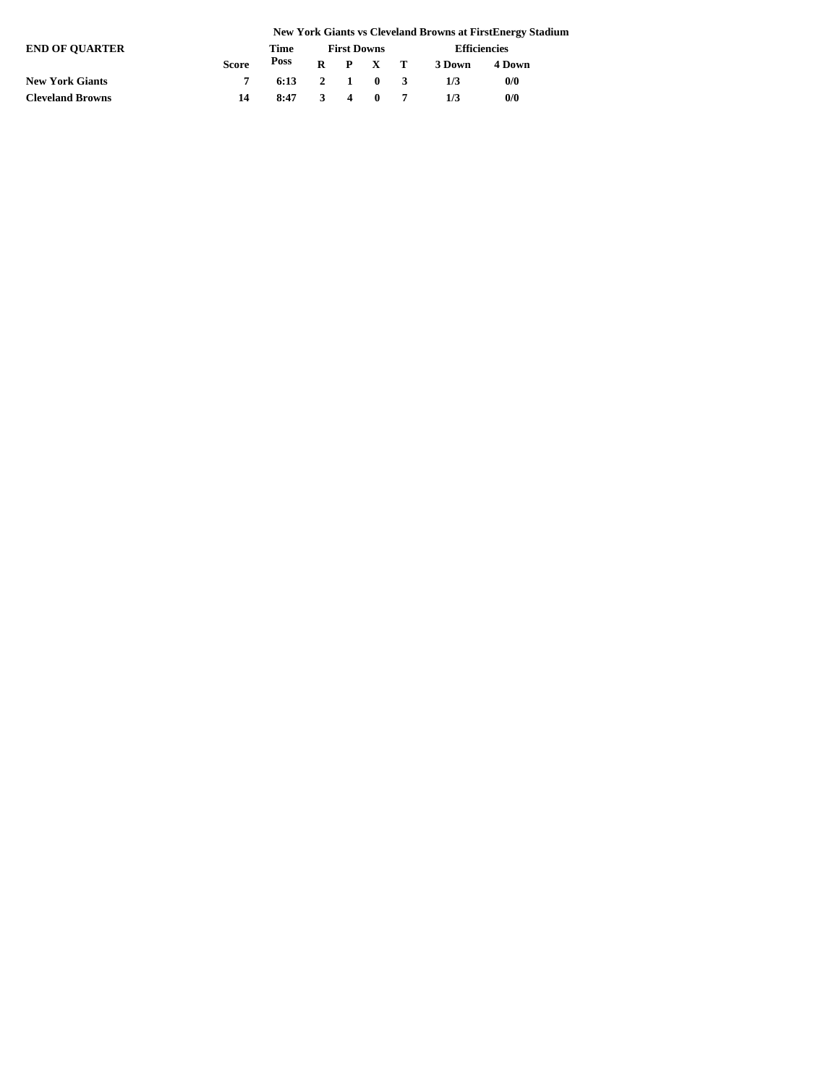|                         | <b>New York Giants vs Cleveland Browns at FirstEnergy Stadium</b> |                        |                    |  |  |  |                     |        |  |
|-------------------------|-------------------------------------------------------------------|------------------------|--------------------|--|--|--|---------------------|--------|--|
| <b>END OF OUARTER</b>   | Time                                                              |                        | <b>First Downs</b> |  |  |  | <b>Efficiencies</b> |        |  |
|                         | <b>Score</b>                                                      |                        |                    |  |  |  | Poss R P X T 3Down  | 4 Down |  |
| <b>New York Giants</b>  |                                                                   | $6:13 \t2 \t1 \t0 \t3$ |                    |  |  |  | 1/3                 | 0/0    |  |
| <b>Cleveland Browns</b> | 14                                                                | $8:47$ 3 4 0 7         |                    |  |  |  |                     | 0/0    |  |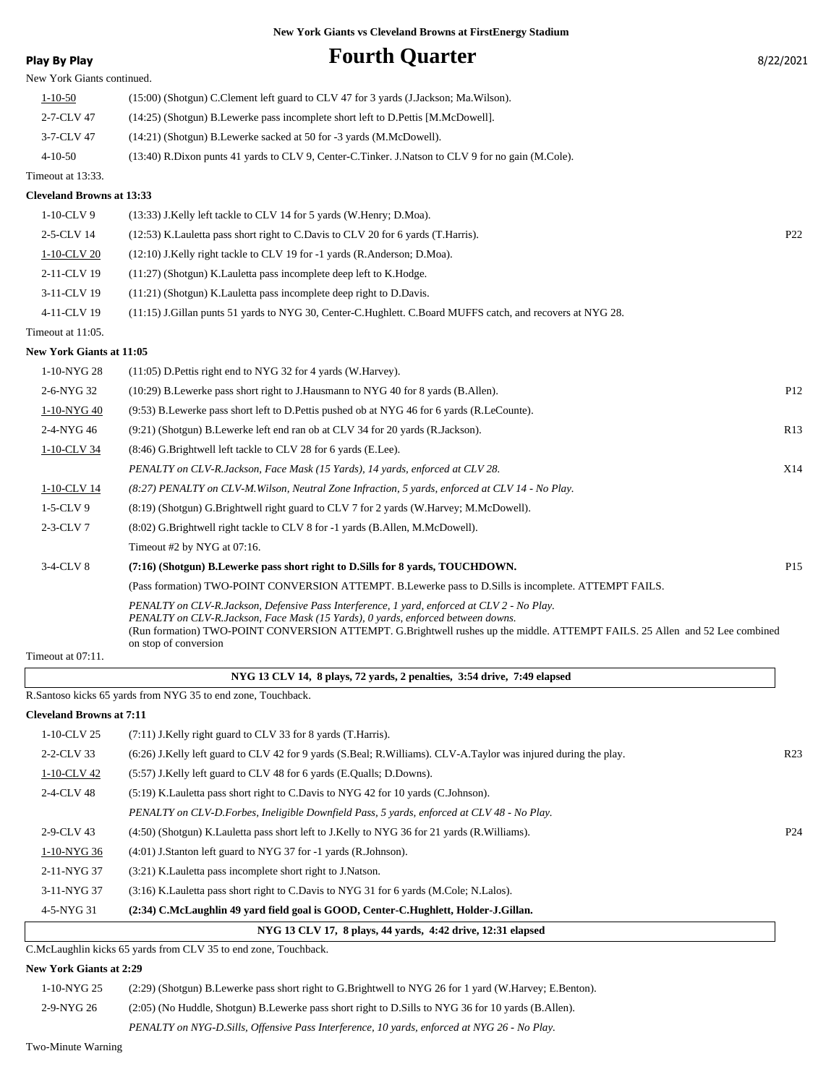| Play By Play                     | <b>Fourth Quarter</b>                                                                                                                                                                                                                                                                                                                    | 8/22/2021       |
|----------------------------------|------------------------------------------------------------------------------------------------------------------------------------------------------------------------------------------------------------------------------------------------------------------------------------------------------------------------------------------|-----------------|
| New York Giants continued.       |                                                                                                                                                                                                                                                                                                                                          |                 |
| $1 - 10 - 50$                    | (15:00) (Shotgun) C.Clement left guard to CLV 47 for 3 yards (J.Jackson; Ma.Wilson).                                                                                                                                                                                                                                                     |                 |
| 2-7-CLV 47                       | (14:25) (Shotgun) B.Lewerke pass incomplete short left to D.Pettis [M.McDowell].                                                                                                                                                                                                                                                         |                 |
| 3-7-CLV 47                       | (14:21) (Shotgun) B.Lewerke sacked at 50 for -3 yards (M.McDowell).                                                                                                                                                                                                                                                                      |                 |
| $4 - 10 - 50$                    | (13:40) R.Dixon punts 41 yards to CLV 9, Center-C.Tinker. J.Natson to CLV 9 for no gain (M.Cole).                                                                                                                                                                                                                                        |                 |
| Timeout at 13:33.                |                                                                                                                                                                                                                                                                                                                                          |                 |
| <b>Cleveland Browns at 13:33</b> |                                                                                                                                                                                                                                                                                                                                          |                 |
| 1-10-CLV 9                       | (13:33) J.Kelly left tackle to CLV 14 for 5 yards (W.Henry; D.Moa).                                                                                                                                                                                                                                                                      |                 |
| 2-5-CLV 14                       | (12:53) K. Lauletta pass short right to C. Davis to CLV 20 for 6 yards (T. Harris).                                                                                                                                                                                                                                                      | P <sub>22</sub> |
| 1-10-CLV 20                      | (12:10) J.Kelly right tackle to CLV 19 for -1 yards (R.Anderson; D.Moa).                                                                                                                                                                                                                                                                 |                 |
| 2-11-CLV 19                      | (11:27) (Shotgun) K. Lauletta pass incomplete deep left to K. Hodge.                                                                                                                                                                                                                                                                     |                 |
| 3-11-CLV 19                      | (11:21) (Shotgun) K. Lauletta pass incomplete deep right to D. Davis.                                                                                                                                                                                                                                                                    |                 |
| 4-11-CLV 19                      | (11:15) J.Gillan punts 51 yards to NYG 30, Center-C.Hughlett. C.Board MUFFS catch, and recovers at NYG 28.                                                                                                                                                                                                                               |                 |
| Timeout at 11:05.                |                                                                                                                                                                                                                                                                                                                                          |                 |
| <b>New York Giants at 11:05</b>  |                                                                                                                                                                                                                                                                                                                                          |                 |
| 1-10-NYG 28                      | $(11:05)$ D. Pettis right end to NYG 32 for 4 yards (W. Harvey).                                                                                                                                                                                                                                                                         |                 |
| 2-6-NYG 32                       | (10:29) B.Lewerke pass short right to J.Hausmann to NYG 40 for 8 yards (B.Allen).                                                                                                                                                                                                                                                        | P12             |
| 1-10-NYG 40                      | (9.53) B.Lewerke pass short left to D.Pettis pushed ob at NYG 46 for 6 yards (R.LeCounte).                                                                                                                                                                                                                                               |                 |
| 2-4-NYG 46                       | (9:21) (Shotgun) B.Lewerke left end ran ob at CLV 34 for 20 yards (R.Jackson).                                                                                                                                                                                                                                                           | R13             |
| 1-10-CLV 34                      | (8:46) G. Brightwell left tackle to CLV 28 for 6 yards (E.Lee).                                                                                                                                                                                                                                                                          |                 |
|                                  | PENALTY on CLV-R.Jackson, Face Mask (15 Yards), 14 yards, enforced at CLV 28.                                                                                                                                                                                                                                                            | X14             |
| 1-10-CLV 14                      | (8:27) PENALTY on CLV-M.Wilson, Neutral Zone Infraction, 5 yards, enforced at CLV 14 - No Play.                                                                                                                                                                                                                                          |                 |
| $1-5$ -CLV 9                     | (8:19) (Shotgun) G.Brightwell right guard to CLV 7 for 2 yards (W.Harvey; M.McDowell).                                                                                                                                                                                                                                                   |                 |
| $2-3$ -CLV $7$                   | (8.02) G.Brightwell right tackle to CLV 8 for -1 yards (B.Allen, M.McDowell).                                                                                                                                                                                                                                                            |                 |
|                                  | Timeout #2 by NYG at 07:16.                                                                                                                                                                                                                                                                                                              |                 |
| 3-4-CLV 8                        | (7:16) (Shotgun) B.Lewerke pass short right to D.Sills for 8 yards, TOUCHDOWN.                                                                                                                                                                                                                                                           | P <sub>15</sub> |
|                                  | (Pass formation) TWO-POINT CONVERSION ATTEMPT. B.Lewerke pass to D.Sills is incomplete. ATTEMPT FAILS.                                                                                                                                                                                                                                   |                 |
|                                  | PENALTY on CLV-R.Jackson, Defensive Pass Interference, 1 yard, enforced at CLV 2 - No Play.<br>PENALTY on CLV-R.Jackson, Face Mask (15 Yards), 0 yards, enforced between downs.<br>(Run formation) TWO-POINT CONVERSION ATTEMPT. G.Brightwell rushes up the middle. ATTEMPT FAILS. 25 Allen and 52 Lee combined<br>on stop of conversion |                 |
| Timeout at 07:11.                |                                                                                                                                                                                                                                                                                                                                          |                 |
|                                  | NYG 13 CLV 14, 8 plays, 72 yards, 2 penalties, 3:54 drive, 7:49 elapsed                                                                                                                                                                                                                                                                  |                 |

R.Santoso kicks 65 yards from NYG 35 to end zone, Touchback.

#### **Cleveland Browns at 7:11**

| NYG 13 CLV 17, 8 plays, 44 yards, 4:42 drive, 12:31 elapsed |                                                                                                                 |                 |  |  |  |  |  |  |
|-------------------------------------------------------------|-----------------------------------------------------------------------------------------------------------------|-----------------|--|--|--|--|--|--|
| 4-5-NYG 31                                                  | (2:34) C.McLaughlin 49 vard field goal is GOOD, Center-C.Hughlett, Holder-J.Gillan.                             |                 |  |  |  |  |  |  |
| 3-11-NYG 37                                                 | (3:16) K. Lauletta pass short right to C. Davis to NYG 31 for 6 yards (M. Cole; N. Lalos).                      |                 |  |  |  |  |  |  |
| 2-11-NYG 37                                                 | (3:21) K. Lauletta pass incomplete short right to J. Natson.                                                    |                 |  |  |  |  |  |  |
| 1-10-NYG 36                                                 | $(4:01)$ J.Stanton left guard to NYG 37 for -1 yards (R.Johnson).                                               |                 |  |  |  |  |  |  |
| 2-9-CLV 43                                                  | (4.50) (Shotgun) K.Lauletta pass short left to J.Kelly to NYG 36 for 21 yards (R.Williams).                     | P <sub>24</sub> |  |  |  |  |  |  |
|                                                             | PENALTY on CLV-D.Forbes, Ineligible Downfield Pass, 5 yards, enforced at CLV 48 - No Play.                      |                 |  |  |  |  |  |  |
| 2-4-CLV 48                                                  | (5.19) K. Lauletta pass short right to C. Davis to NYG 42 for 10 yards (C. Johnson).                            |                 |  |  |  |  |  |  |
| 1-10-CLV 42                                                 | (5:57) J.Kelly left guard to CLV 48 for 6 yards (E.Qualls; D.Downs).                                            |                 |  |  |  |  |  |  |
| 2-2-CLV 33                                                  | (6:26) J.Kelly left guard to CLV 42 for 9 yards (S.Beal; R.Williams). CLV-A.Taylor was injured during the play. | R <sub>23</sub> |  |  |  |  |  |  |
| $1-10$ -CLV 25                                              | (7:11) J.Kelly right guard to CLV 33 for 8 yards (T.Harris).                                                    |                 |  |  |  |  |  |  |
|                                                             |                                                                                                                 |                 |  |  |  |  |  |  |

C.McLaughlin kicks 65 yards from CLV 35 to end zone, Touchback.

#### **New York Giants at 2:29**

1-10-NYG 25 (2:29) (Shotgun) B.Lewerke pass short right to G.Brightwell to NYG 26 for 1 yard (W.Harvey; E.Benton). 2-9-NYG 26 (2:05) (No Huddle, Shotgun) B.Lewerke pass short right to D.Sills to NYG 36 for 10 yards (B.Allen).

*PENALTY on NYG-D.Sills, Offensive Pass Interference, 10 yards, enforced at NYG 26 - No Play.*

Two-Minute Warning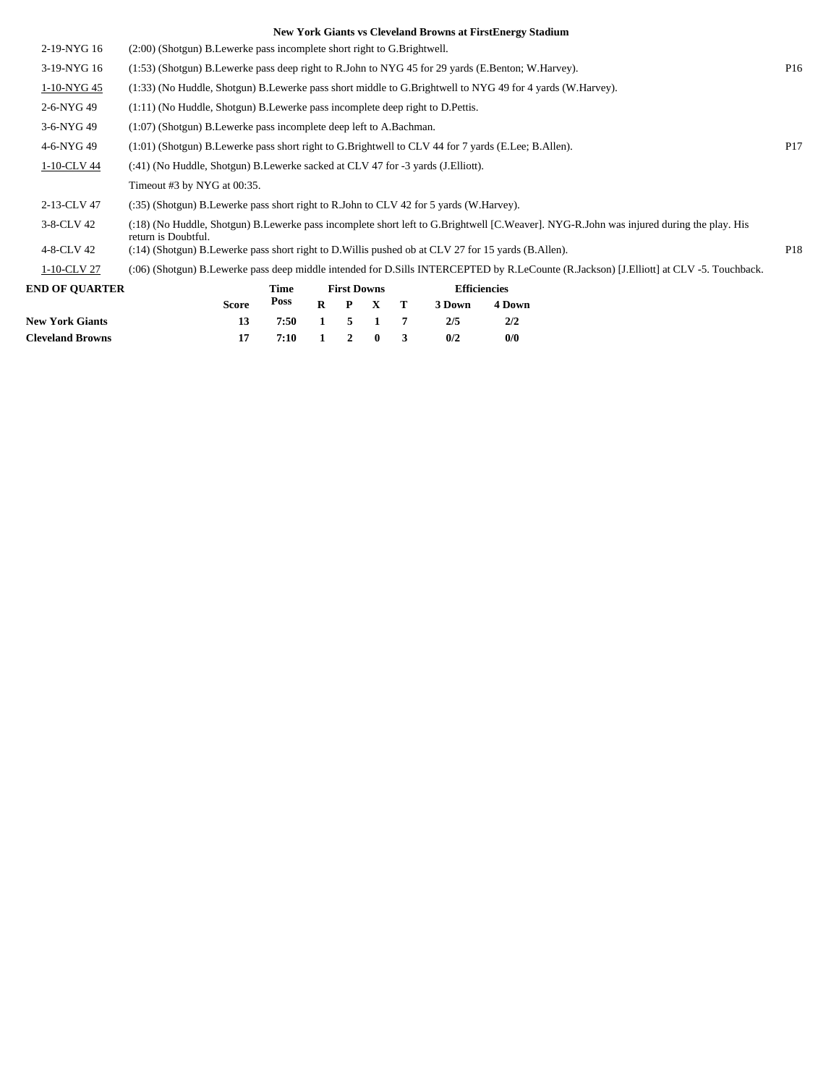| <b>New York Giants</b> | 7<br>2/5<br>2/2<br>7:50<br>5<br>13<br>1<br>1                                                                                                                   |                 |
|------------------------|----------------------------------------------------------------------------------------------------------------------------------------------------------------|-----------------|
|                        | Poss<br>$\bf{R}$<br><b>Score</b><br>$\mathbf{P}$<br>$\mathbf{X}$<br>Т<br>3 Down<br>4 Down                                                                      |                 |
| <b>END OF OUARTER</b>  | <b>Efficiencies</b><br>Time<br><b>First Downs</b>                                                                                                              |                 |
| 1-10-CLV 27            | (:06) (Shotgun) B.Lewerke pass deep middle intended for D.Sills INTERCEPTED by R.LeCounte (R.Jackson) [J.Elliott] at CLV -5. Touchback.                        |                 |
| 4-8-CLV 42             | (:14) (Shotgun) B.Lewerke pass short right to D.Willis pushed ob at CLV 27 for 15 yards (B.Allen).                                                             | P <sub>18</sub> |
| 3-8-CLV 42             | (:18) (No Huddle, Shotgun) B.Lewerke pass incomplete short left to G.Brightwell [C.Weaver]. NYG-R.John was injured during the play. His<br>return is Doubtful. |                 |
| 2-13-CLV 47            | (:35) (Shotgun) B.Lewerke pass short right to R.John to CLV 42 for 5 yards (W.Harvey).                                                                         |                 |
|                        | Timeout #3 by NYG at 00:35.                                                                                                                                    |                 |
| 1-10-CLV 44            | (:41) (No Huddle, Shotgun) B.Lewerke sacked at CLV 47 for -3 yards (J. Elliott).                                                                               |                 |
| 4-6-NYG 49             | $(1:01)$ (Shotgun) B. Lewerke pass short right to G. Brightwell to CLV 44 for 7 yards (E. Lee; B. Allen).                                                      | P <sub>17</sub> |
| 3-6-NYG 49             | (1:07) (Shotgun) B.Lewerke pass incomplete deep left to A.Bachman.                                                                                             |                 |
| 2-6-NYG 49             | $(1:11)$ (No Huddle, Shotgun) B. Lewerke pass incomplete deep right to D. Pettis.                                                                              |                 |
| 1-10-NYG 45            | (1:33) (No Huddle, Shotgun) B.Lewerke pass short middle to G.Brightwell to NYG 49 for 4 yards (W.Harvey).                                                      |                 |
| 3-19-NYG 16            | (1:53) (Shotgun) B.Lewerke pass deep right to R.John to NYG 45 for 29 yards (E.Benton; W.Harvey).                                                              | P <sub>16</sub> |
| 2-19-NYG 16            | (2:00) (Shotgun) B.Lewerke pass incomplete short right to G.Brightwell.                                                                                        |                 |
|                        |                                                                                                                                                                |                 |

**Cleveland Browns 17 7:10 1 2 0 3 0/2 0/0**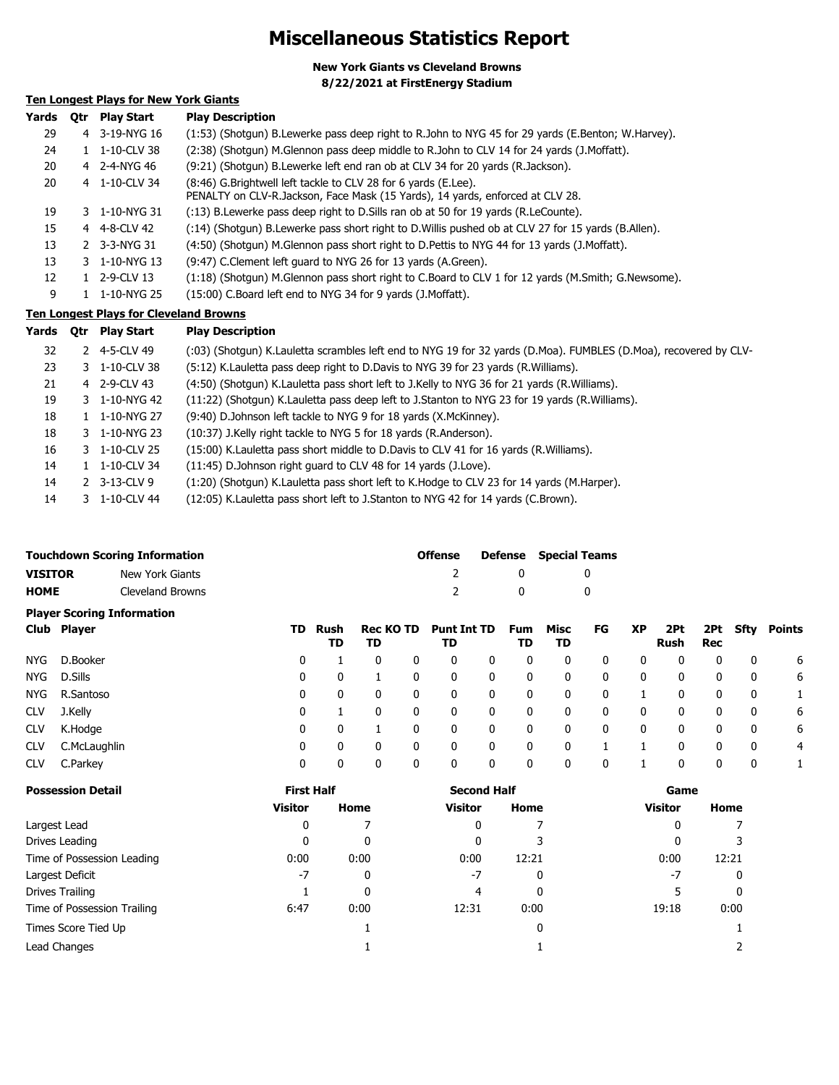### **Miscellaneous Statistics Report**

**New York Giants vs Cleveland Browns 8/22/2021 at FirstEnergy Stadium**

### **Ten Longest Plays for New York Giants**

| Yards | 0tr | <b>Play Start</b>     | <b>Play Description</b>                                                                                                                           |
|-------|-----|-----------------------|---------------------------------------------------------------------------------------------------------------------------------------------------|
| 29    |     | 4 3-19-NYG 16         | (1:53) (Shotgun) B.Lewerke pass deep right to R.John to NYG 45 for 29 yards (E.Benton; W.Harvey).                                                 |
| 24    |     | $1 - 1 - 10 - CLV$ 38 | (2:38) (Shotgun) M.Glennon pass deep middle to R.John to CLV 14 for 24 yards (J.Moffatt).                                                         |
| 20    |     | 4 2-4-NYG 46          | (9:21) (Shotqun) B.Lewerke left end ran ob at CLV 34 for 20 yards (R.Jackson).                                                                    |
| 20    |     | 4 1-10-CLV 34         | (8:46) G. Brightwell left tackle to CLV 28 for 6 yards (E. Lee).<br>PENALTY on CLV-R.Jackson, Face Mask (15 Yards), 14 yards, enforced at CLV 28. |
| 19    |     | 3 1-10-NYG 31         | (:13) B.Lewerke pass deep right to D.Sills ran ob at 50 for 19 yards (R.LeCounte).                                                                |
| 15    |     | 4 4-8-CLV 42          | (:14) (Shotgun) B.Lewerke pass short right to D.Willis pushed ob at CLV 27 for 15 yards (B.Allen).                                                |
| 13    |     | 2 3-3-NYG 31          | (4:50) (Shotqun) M.Glennon pass short right to D.Pettis to NYG 44 for 13 yards (J.Moffatt).                                                       |
| 13    |     | 3 1-10-NYG 13         | (9:47) C.Clement left guard to NYG 26 for 13 yards (A.Green).                                                                                     |
| 12    |     | 1 2-9-CLV 13          | (1:18) (Shotgun) M.Glennon pass short right to C.Board to CLV 1 for 12 yards (M.Smith; G.Newsome).                                                |
| 9     |     | 1-10-NYG 25           | (15:00) C.Board left end to NYG 34 for 9 yards (J.Moffatt).                                                                                       |

### **Ten Longest Plays for Cleveland Browns**

| Yards | 0tr | <b>Play Start</b> | <b>Play Description</b>                                                                                          |
|-------|-----|-------------------|------------------------------------------------------------------------------------------------------------------|
| 32    |     | 2 4-5-CLV 49      | (:03) (Shotgun) K.Lauletta scrambles left end to NYG 19 for 32 yards (D.Moa). FUMBLES (D.Moa), recovered by CLV- |
| 23    |     | 3 1-10-CLV 38     | (5:12) K. Lauletta pass deep right to D. Davis to NYG 39 for 23 yards (R. Williams).                             |
| 21    |     | 4 2-9-CLV 43      | (4:50) (Shotgun) K.Lauletta pass short left to J.Kelly to NYG 36 for 21 yards (R.Williams).                      |
| 19    |     | 3 1-10-NYG 42     | (11:22) (Shotgun) K.Lauletta pass deep left to J.Stanton to NYG 23 for 19 yards (R.Williams).                    |
| 18    |     | 1 1-10-NYG 27     | (9:40) D.Johnson left tackle to NYG 9 for 18 yards (X.McKinney).                                                 |
| 18    |     | 3 1-10-NYG 23     | (10:37) J.Kelly right tackle to NYG 5 for 18 yards (R.Anderson).                                                 |
| 16    |     | 3 1-10-CLV 25     | (15:00) K. Lauletta pass short middle to D. Davis to CLV 41 for 16 yards (R. Williams).                          |
| 14    |     | 1 1-10-CLV 34     | (11:45) D.Johnson right guard to CLV 48 for 14 yards (J.Love).                                                   |
| 14    |     | 2 3-13-CLV 9      | (1:20) (Shotgun) K.Lauletta pass short left to K.Hodge to CLV 23 for 14 yards (M.Harper).                        |
| 14    |     | 3 1-10-CLV 44     | (12:05) K. Lauletta pass short left to J. Stanton to NYG 42 for 14 yards (C. Brown).                             |

| <b>Touchdown Scoring Information</b> |                  | <b>Offense</b> | <b>Defense</b> Special Teams |
|--------------------------------------|------------------|----------------|------------------------------|
| <b>VISITOR</b>                       | New York Giants  |                |                              |
| <b>HOME</b>                          | Cleveland Browns |                |                              |

|            | <b>Player Scoring Information</b> |     |            |                        |   |                          |              |                  |            |    |           |             |            |              |        |
|------------|-----------------------------------|-----|------------|------------------------|---|--------------------------|--------------|------------------|------------|----|-----------|-------------|------------|--------------|--------|
|            | Club Player                       | TD. | Rush<br>TD | <b>Rec KO TD</b><br>TD |   | <b>Punt Int TD</b><br>TD |              | <b>Fum</b><br>TD | Misc<br>TD | FG | <b>XP</b> | 2Pt<br>Rush | 2Pt<br>Rec | Sfty         | Points |
| NYG.       | D.Booker                          | 0   |            |                        | 0 | 0                        | 0            | 0                | 0          | 0  | 0         |             | 0          | 0            | 6      |
| NYG.       | D.Sills                           | 0   | 0          |                        | 0 | 0                        | 0            | 0                | 0          | 0  | 0         |             | 0          | 0            | 6      |
| NYG.       | R.Santoso                         | 0   | 0          |                        | 0 | 0                        | 0            | 0                | 0          | 0  |           |             | 0          | 0            |        |
| <b>CLV</b> | J.Kelly                           | 0   |            | $\Omega$               | 0 | 0                        | 0            | 0                | 0          | 0  | 0         | 0           | 0          | 0            | 6      |
| <b>CLV</b> | K.Hodge                           | 0   | 0          |                        | 0 | 0                        | $\mathbf{0}$ | 0                | 0          | 0  | 0         | 0           | 0          | 0            | 6      |
| <b>CLV</b> | C.McLaughlin                      | 0   | 0          | 0                      | 0 | 0                        | 0            | 0                | 0          |    |           |             | 0          | $\mathbf{0}$ | 4      |
| <b>CLV</b> | C.Parkey                          | 0   | 0          |                        | 0 | 0                        | 0            |                  | 0          | 0  |           |             | 0          | 0            |        |

| <b>Possession Detail</b>    | <b>First Half</b> |      | <b>Second Half</b> |       | Game           |       |  |  |
|-----------------------------|-------------------|------|--------------------|-------|----------------|-------|--|--|
|                             | <b>Visitor</b>    | Home | <b>Visitor</b>     | Home  | <b>Visitor</b> | Home  |  |  |
| Largest Lead                | 0                 |      | 0                  |       | 0              |       |  |  |
| Drives Leading              | 0                 | 0    | 0                  |       | 0              |       |  |  |
| Time of Possession Leading  | 0:00              | 0:00 | 0:00               | 12:21 | 0:00           | 12:21 |  |  |
| Largest Deficit             | $-7$              | 0    | $-7$               | 0     | -7             | 0     |  |  |
| Drives Trailing             |                   | 0    | 4                  | 0     |                | 0     |  |  |
| Time of Possession Trailing | 6:47              | 0:00 | 12:31              | 0:00  | 19:18          | 0:00  |  |  |
| Times Score Tied Up         |                   |      |                    | 0     |                |       |  |  |
| Lead Changes                |                   |      |                    |       |                |       |  |  |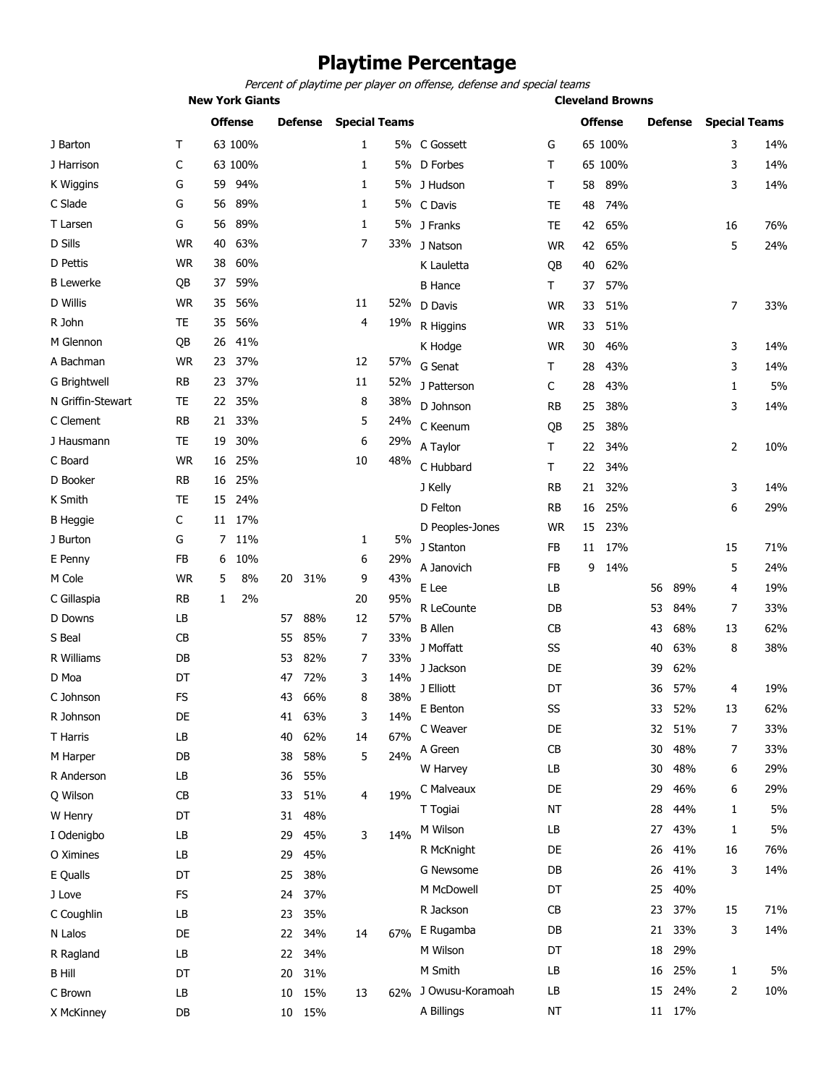# **Playtime Percentage**

Percent of playtime per player on offense, defense and special teams

|                   | <b>New York Giants</b> |    |                |    |                |                      |     |                  |           |    | <b>Cleveland Browns</b> |    |                |                      |     |  |
|-------------------|------------------------|----|----------------|----|----------------|----------------------|-----|------------------|-----------|----|-------------------------|----|----------------|----------------------|-----|--|
|                   |                        |    | <b>Offense</b> |    | <b>Defense</b> | <b>Special Teams</b> |     |                  |           |    | <b>Offense</b>          |    | <b>Defense</b> | <b>Special Teams</b> |     |  |
| J Barton          | т                      |    | 63 100%        |    |                | 1                    |     | 5% C Gossett     | G         |    | 65 100%                 |    |                | 3                    | 14% |  |
| J Harrison        | C                      |    | 63 100%        |    |                | 1                    |     | 5% D Forbes      | Τ         |    | 65 100%                 |    |                | 3                    | 14% |  |
| K Wiggins         | G                      | 59 | 94%            |    |                | 1                    |     | 5% J Hudson      | Τ         | 58 | 89%                     |    |                | 3                    | 14% |  |
| C Slade           | G                      | 56 | 89%            |    |                | 1                    |     | 5% C Davis       | TE        | 48 | 74%                     |    |                |                      |     |  |
| T Larsen          | G                      | 56 | 89%            |    |                | 1                    |     | 5% J Franks      | TE        | 42 | 65%                     |    |                | 16                   | 76% |  |
| D Sills           | <b>WR</b>              | 40 | 63%            |    |                | 7                    |     | 33% J Natson     | <b>WR</b> | 42 | 65%                     |    |                | 5                    | 24% |  |
| D Pettis          | <b>WR</b>              | 38 | 60%            |    |                |                      |     | K Lauletta       | QB        | 40 | 62%                     |    |                |                      |     |  |
| <b>B</b> Lewerke  | QB                     | 37 | 59%            |    |                |                      |     | <b>B</b> Hance   | Τ         | 37 | 57%                     |    |                |                      |     |  |
| D Willis          | <b>WR</b>              | 35 | 56%            |    |                | 11                   | 52% | D Davis          | <b>WR</b> | 33 | 51%                     |    |                | 7                    | 33% |  |
| R John            | TE                     | 35 | 56%            |    |                | 4                    | 19% | R Higgins        | <b>WR</b> | 33 | 51%                     |    |                |                      |     |  |
| M Glennon         | QB                     | 26 | 41%            |    |                |                      |     | K Hodge          | <b>WR</b> | 30 | 46%                     |    |                | 3                    | 14% |  |
| A Bachman         | <b>WR</b>              | 23 | 37%            |    |                | 12                   | 57% | G Senat          | T         | 28 | 43%                     |    |                | 3                    | 14% |  |
| G Brightwell      | <b>RB</b>              |    | 23 37%         |    |                | 11                   | 52% | J Patterson      | C         | 28 | 43%                     |    |                | $\mathbf{1}$         | 5%  |  |
| N Griffin-Stewart | <b>TE</b>              | 22 | 35%            |    |                | 8                    | 38% | D Johnson        | <b>RB</b> | 25 | 38%                     |    |                | 3                    | 14% |  |
| C Clement         | <b>RB</b>              | 21 | 33%            |    |                | 5                    | 24% | C Keenum         | QB        | 25 | 38%                     |    |                |                      |     |  |
| J Hausmann        | TE                     | 19 | 30%            |    |                | 6                    | 29% | A Taylor         | Τ         | 22 | 34%                     |    |                | 2                    | 10% |  |
| C Board           | <b>WR</b>              | 16 | 25%            |    |                | 10                   | 48% | C Hubbard        | T.        | 22 | 34%                     |    |                |                      |     |  |
| D Booker          | <b>RB</b>              | 16 | 25%            |    |                |                      |     | J Kelly          | RB        | 21 | 32%                     |    |                | 3                    | 14% |  |
| K Smith           | <b>TE</b>              | 15 | 24%            |    |                |                      |     | D Felton         | RB        | 16 | 25%                     |    |                | 6                    | 29% |  |
| <b>B</b> Heggie   | C                      |    | 11 17%         |    |                |                      |     | D Peoples-Jones  | <b>WR</b> | 15 | 23%                     |    |                |                      |     |  |
| J Burton          | G                      | 7  | 11%            |    |                | 1                    | 5%  | J Stanton        | FB        | 11 | 17%                     |    |                | 15                   | 71% |  |
| E Penny           | FB                     | 6  | 10%            |    |                | 6                    | 29% | A Janovich       | FB        | 9  | 14%                     |    |                | 5                    | 24% |  |
| M Cole            | <b>WR</b>              | 5  | 8%             | 20 | 31%            | 9                    | 43% | E Lee            | LB        |    |                         | 56 | 89%            | 4                    | 19% |  |
| C Gillaspia       | <b>RB</b>              | 1  | 2%             |    |                | 20                   | 95% | R LeCounte       | DB        |    |                         | 53 | 84%            | 7                    | 33% |  |
| D Downs           | LB                     |    |                | 57 | 88%            | 12                   | 57% | <b>B</b> Allen   | CB        |    |                         | 43 | 68%            | 13                   | 62% |  |
| S Beal            | <b>CB</b>              |    |                | 55 | 85%            | 7                    | 33% | J Moffatt        | SS        |    |                         | 40 | 63%            | 8                    | 38% |  |
| R Williams        | DB                     |    |                | 53 | 82%            | 7                    | 33% | J Jackson        | DE        |    |                         | 39 | 62%            |                      |     |  |
| D Moa             | DT                     |    |                | 47 | 72%            | 3                    | 14% | J Elliott        | DT        |    |                         |    | 57%            | 4                    | 19% |  |
| C Johnson         | <b>FS</b>              |    |                | 43 | 66%            | 8                    | 38% |                  | SS        |    |                         | 36 |                | 13                   | 62% |  |
| R Johnson         | DE                     |    |                | 41 | 63%            | 3                    | 14% | E Benton         |           |    |                         | 33 | 52%            |                      |     |  |
| T Harris          | LB                     |    |                | 40 | 62%            | 14                   | 67% | C Weaver         | DE        |    |                         | 32 | 51%            | 7                    | 33% |  |
| M Harper          | DB                     |    |                | 38 | 58%            | 5                    | 24% | A Green          | CB        |    |                         | 30 | 48%            | 7                    | 33% |  |
| R Anderson        | LB                     |    |                | 36 | 55%            |                      |     | W Harvey         | LB        |    |                         | 30 | 48%            | 6                    | 29% |  |
| Q Wilson          | CB                     |    |                | 33 | 51%            | 4                    | 19% | C Malveaux       | DE        |    |                         | 29 | 46%            | 6                    | 29% |  |
| W Henry           | DT                     |    |                | 31 | 48%            |                      |     | T Togiai         | ΝT        |    |                         | 28 | 44%            | 1                    | 5%  |  |
| I Odenigbo        | LB                     |    |                | 29 | 45%            | 3                    | 14% | M Wilson         | LB        |    |                         | 27 | 43%            | 1                    | 5%  |  |
| O Ximines         | LB                     |    |                | 29 | 45%            |                      |     | R McKnight       | DE        |    |                         | 26 | 41%            | 16                   | 76% |  |
| E Qualls          | DT                     |    |                | 25 | 38%            |                      |     | G Newsome        | DB        |    |                         | 26 | 41%            | 3                    | 14% |  |
| J Love            | FS                     |    |                | 24 | 37%            |                      |     | M McDowell       | DT        |    |                         | 25 | 40%            |                      |     |  |
| C Coughlin        | LB                     |    |                | 23 | 35%            |                      |     | R Jackson        | CB        |    |                         | 23 | 37%            | 15                   | 71% |  |
| N Lalos           | DE                     |    |                | 22 | 34%            | 14                   | 67% | E Rugamba        | DB        |    |                         | 21 | 33%            | 3                    | 14% |  |
| R Ragland         | LB                     |    |                | 22 | 34%            |                      |     | M Wilson         | DT        |    |                         | 18 | 29%            |                      |     |  |
| <b>B</b> Hill     | DT                     |    |                | 20 | 31%            |                      |     | M Smith          | LB        |    |                         | 16 | 25%            | 1                    | 5%  |  |
| C Brown           | LB                     |    |                | 10 | 15%            | 13                   | 62% | J Owusu-Koramoah | LB        |    |                         | 15 | 24%            | 2                    | 10% |  |
| X McKinney        | DB                     |    |                |    | 10 15%         |                      |     | A Billings       | NT        |    |                         |    | 11 17%         |                      |     |  |